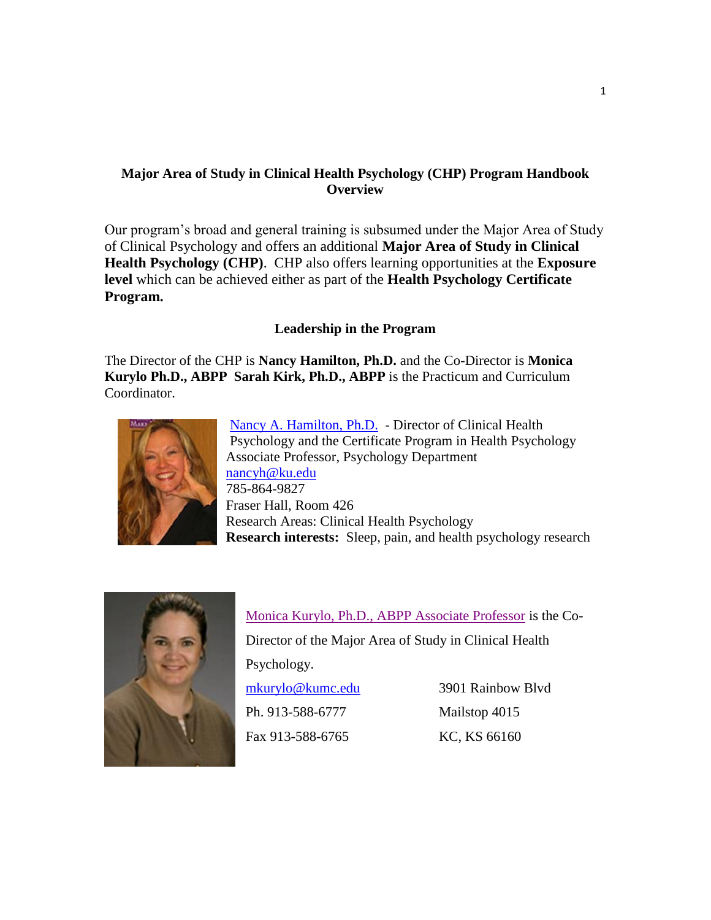# **Major Area of Study in Clinical Health Psychology (CHP) Program Handbook Overview**

Our program's broad and general training is subsumed under the Major Area of Study of Clinical Psychology and offers an additional **Major Area of Study in Clinical Health Psychology (CHP)**. CHP also offers learning opportunities at the **Exposure level** which can be achieved either as part of the **Health Psychology Certificate Program.** 

# **Leadership in the Program**

The Director of the CHP is **Nancy Hamilton, Ph.D.** and the Co-Director is **Monica Kurylo Ph.D., ABPP Sarah Kirk, Ph.D., ABPP** is the Practicum and Curriculum Coordinator.



[Nancy A. Hamilton,](http://clinical.ku.edu/nancy-hamilton) Ph.D. - Director of Clinical Health Psychology and the Certificate Program in Health Psychology Associate Professor, Psychology Department [nancyh@ku.edu](mailto:nancyh@ku.edu) 785-864-9827 Fraser Hall, Room 426 Research Areas: Clinical Health Psychology **Research interests:** Sleep, pain, and health psychology research



[Monica Kurylo, Ph.D., ABPP Associate Professor](http://www.kumc.edu/school-of-medicine/psychiatry-and-behavioral-sciences/faculty/clinical-psychologists/monica-kurylo-phd-abpp.html) is the Co-Director of the Major Area of Study in Clinical Health Psychology. [mkurylo@kumc.edu](mailto:mkurylo@kumc.edu) 3901 Rainbow Blvd Ph. 913-588-6777 Mailstop 4015 Fax 913-588-6765 KC, KS 66160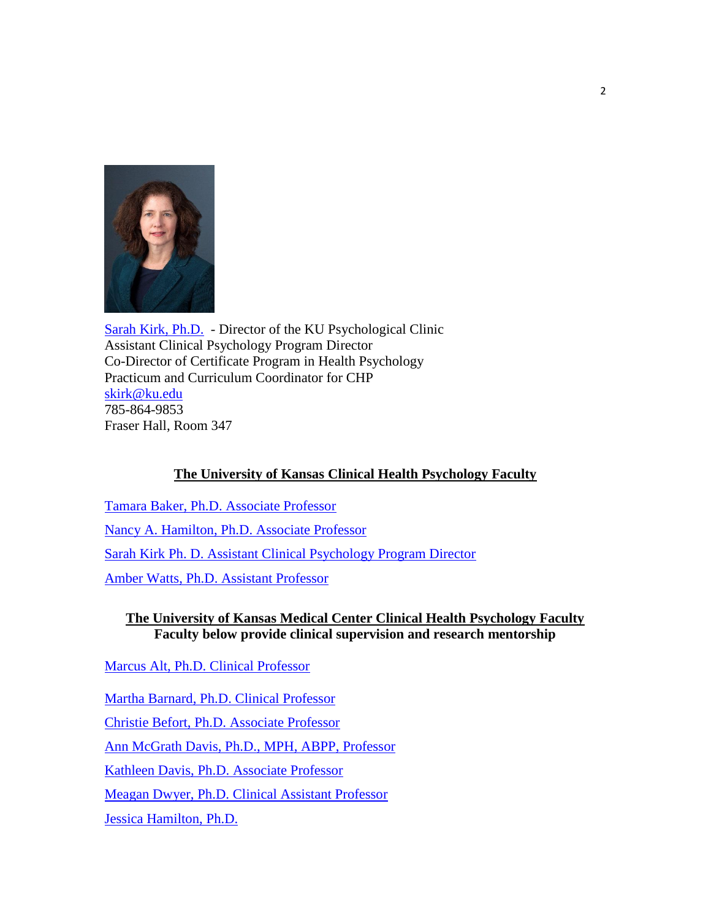

[Sarah Kirk,](http://clinical.ku.edu/sarah-kirk) Ph.D. - Director of the KU Psychological Clinic Assistant Clinical Psychology Program Director Co-Director of Certificate Program in Health Psychology Practicum and Curriculum Coordinator for CHP [skirk@ku.edu](mailto:skirk@ku.edu) 785-864-9853 Fraser Hall, Room 347

# **The University of Kansas Clinical Health Psychology Faculty**

[Tamara Baker, Ph.D. Associate Professor](http://clinical.drupal.ku.edu/tamara-baker) [Nancy A. Hamilton, Ph.D. Associate Professor](http://clinical.ku.edu/nancy-hamilton)  [Sarah Kirk Ph. D. Assistant Clinical Psychology Program Director](http://clinical.ku.edu/sarah-kirk) [Amber Watts, Ph.D. Assistant Professor](http://clinical.drupal.ku.edu/amber-watts)

## **The University of Kansas Medical Center Clinical Health Psychology Faculty Faculty below provide clinical supervision and research mentorship**

[Marcus Alt, Ph.D. Clinical Professor](https://referral.kumed.com/weblink/#!/doctors/info/BWP000X3)

[Martha Barnard, Ph.D. Clinical Professor](http://www.kumc.edu/school-of-medicine/pediatrics/faculty/martye-barnard.html) Christie [Befort, Ph.D. Associate Professor](http://www.kumc.edu/school-of-medicine/preventive-medicine-and-public-health/faculty-and-staff/faculty/christie-befort.html) [Ann McGrath Davis, Ph.D., MPH, ABPP, Professor](http://www.kumc.edu/school-of-medicine/pediatrics/faculty/ann-davis.html) Kathleen [Davis, Ph.D. Associate Professor](http://www.kumc.edu/school-of-medicine/pediatrics/faculty/kathleen-davis.html) [Meagan Dwyer, Ph.D. Clinical Assistant Professor](http://www.kumc.edu/school-of-medicine/psychiatry-and-behavioral-sciences/faculty/clinical-psychologists/meagan-l-dwyer-phd.html) [Jessica Hamilton, Ph.D.](http://www.kumed.com/find-doctor/hamilton-jessica-l)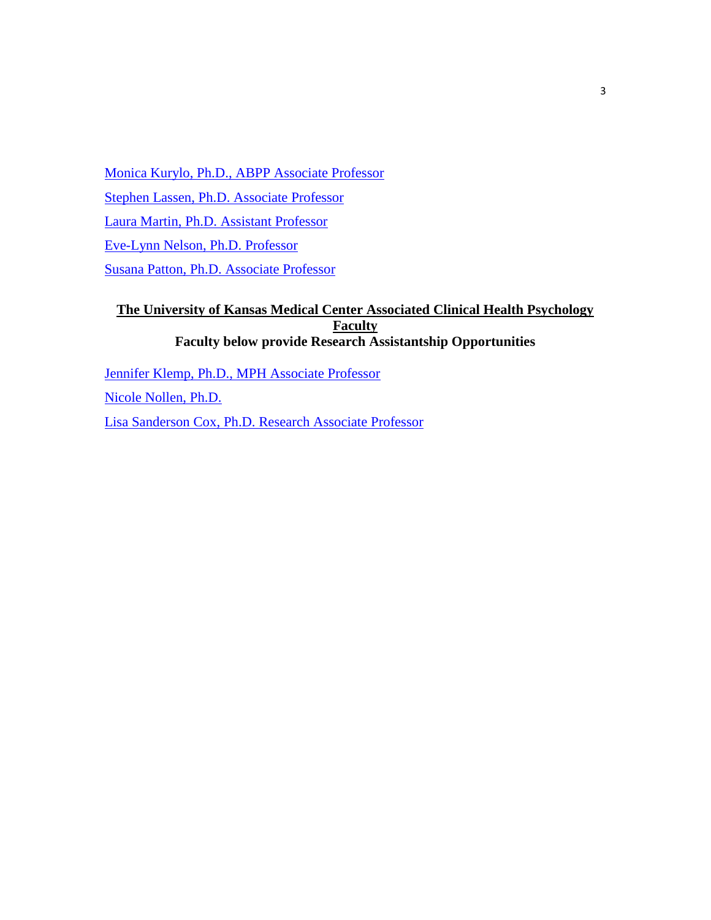[Monica Kurylo, Ph.D., ABPP Associate Professor](http://www.kumc.edu/school-of-medicine/psychiatry-and-behavioral-sciences/faculty/clinical-psychologists/monica-kurylo-phd-abpp.html) [Stephen Lassen, Ph.D. Associate Professor](http://www.kumc.edu/school-of-medicine/pediatrics/faculty/stephen-lassen.html) [Laura Martin, Ph.D. Assistant Professor](http://www.kumc.edu/school-of-medicine/preventive-medicine-and-public-health/faculty-and-staff/faculty/laura-e-martin.html) [Eve-Lynn Nelson, Ph.D. Professor](http://www.kumc.edu/school-of-medicine/pediatrics/faculty/eve-lynn-nelson.html) [Susana Patton, Ph.D. Associate Professor](http://www.kumc.edu/school-of-medicine/pediatrics/faculty/susana-patton.html)

# **The University of Kansas Medical Center Associated Clinical Health Psychology Faculty Faculty below provide Research Assistantship Opportunities**

[Jennifer Klemp, Ph.D., MPH Associate Professor](http://www.kumc.edu/school-of-medicine/internal-medicine/hemonc/faculty/jennifer-klemp.html) [Nicole Nollen, Ph.D.](https://experts.kumc.edu/en/people/118-Nikki_Nollen) [Lisa Sanderson Cox, Ph.D. Research Associate Professor](http://www.kumc.edu/school-of-medicine/preventive-medicine-and-public-health/faculty-and-staff/faculty/lisa-sanderson-cox.html)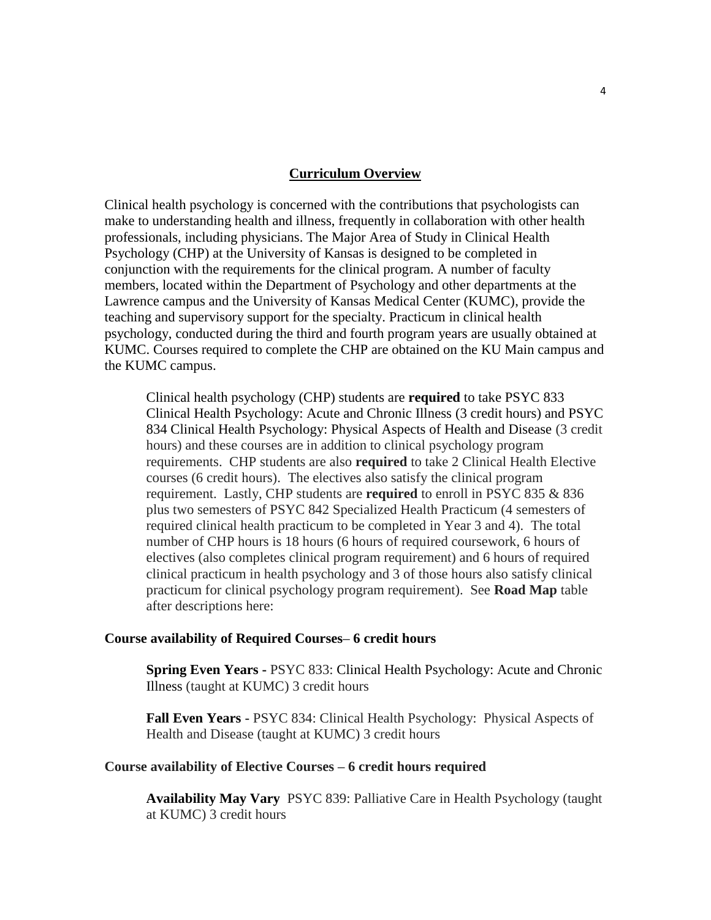#### **Curriculum Overview**

Clinical health psychology is concerned with the contributions that psychologists can make to understanding health and illness, frequently in collaboration with other health professionals, including physicians. The Major Area of Study in Clinical Health Psychology (CHP) at the University of Kansas is designed to be completed in conjunction with the requirements for the clinical program. A number of faculty members, located within the Department of Psychology and other departments at the Lawrence campus and the University of Kansas Medical Center (KUMC), provide the teaching and supervisory support for the specialty. Practicum in clinical health psychology, conducted during the third and fourth program years are usually obtained at KUMC. Courses required to complete the CHP are obtained on the KU Main campus and the KUMC campus.

Clinical health psychology (CHP) students are **required** to take PSYC 833 Clinical Health Psychology: Acute and Chronic Illness (3 credit hours) and PSYC 834 Clinical Health Psychology: Physical Aspects of Health and Disease (3 credit hours) and these courses are in addition to clinical psychology program requirements. CHP students are also **required** to take 2 Clinical Health Elective courses (6 credit hours). The electives also satisfy the clinical program requirement. Lastly, CHP students are **required** to enroll in PSYC 835 & 836 plus two semesters of PSYC 842 Specialized Health Practicum (4 semesters of required clinical health practicum to be completed in Year 3 and 4). The total number of CHP hours is 18 hours (6 hours of required coursework, 6 hours of electives (also completes clinical program requirement) and 6 hours of required clinical practicum in health psychology and 3 of those hours also satisfy clinical practicum for clinical psychology program requirement). See **Road Map** table after descriptions here:

#### **Course availability of Required Courses– 6 credit hours**

**Spring Even Years -** PSYC 833: Clinical Health Psychology: Acute and Chronic Illness (taught at KUMC) 3 credit hours

**Fall Even Years** - PSYC 834: Clinical Health Psychology: Physical Aspects of Health and Disease (taught at KUMC) 3 credit hours

#### **Course availability of Elective Courses – 6 credit hours required**

**Availability May Vary** PSYC 839: Palliative Care in Health Psychology (taught at KUMC) 3 credit hours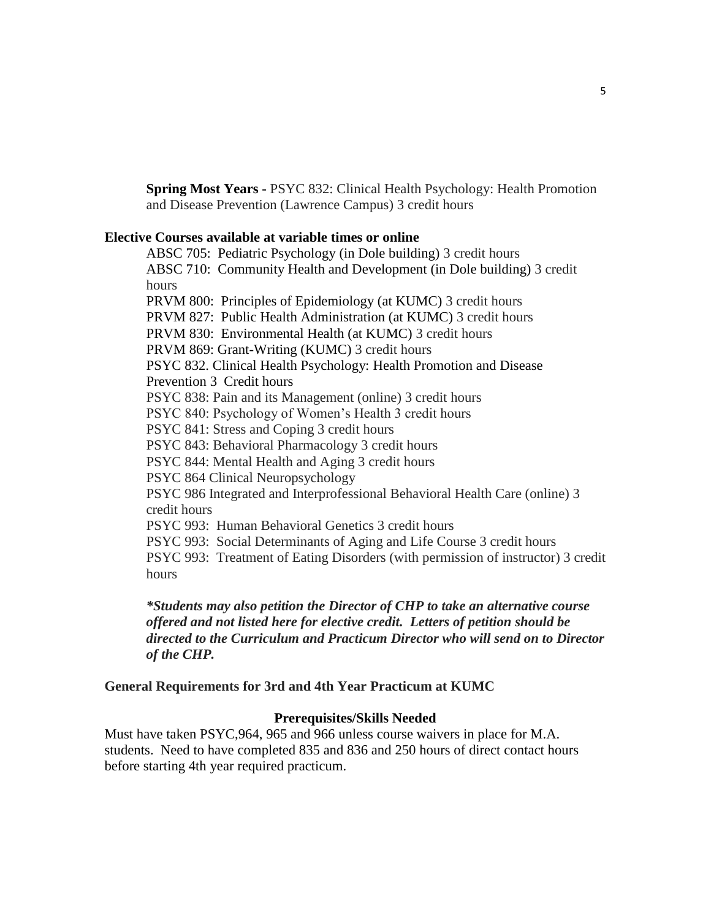**Spring Most Years -** PSYC 832: Clinical Health Psychology: Health Promotion and Disease Prevention (Lawrence Campus) 3 credit hours

## **Elective Courses available at variable times or online**

ABSC 705: Pediatric Psychology (in Dole building) 3 credit hours ABSC 710: Community Health and Development (in Dole building) 3 credit hours PRVM 800: Principles of Epidemiology (at KUMC) 3 credit hours PRVM 827: Public Health Administration (at KUMC) 3 credit hours PRVM 830: Environmental Health (at KUMC) 3 credit hours PRVM 869: Grant-Writing (KUMC) 3 credit hours PSYC 832. Clinical Health Psychology: Health Promotion and Disease Prevention 3 Credit hours PSYC 838: Pain and its Management (online) 3 credit hours PSYC 840: Psychology of Women's Health 3 credit hours PSYC 841: Stress and Coping 3 credit hours PSYC 843: Behavioral Pharmacology 3 credit hours PSYC 844: Mental Health and Aging 3 credit hours PSYC 864 Clinical Neuropsychology PSYC 986 Integrated and Interprofessional Behavioral Health Care (online) 3 credit hours PSYC 993: Human Behavioral Genetics 3 credit hours PSYC 993: Social Determinants of Aging and Life Course 3 credit hours PSYC 993: Treatment of Eating Disorders (with permission of instructor) 3 credit hours

*\*Students may also petition the Director of CHP to take an alternative course offered and not listed here for elective credit. Letters of petition should be directed to the Curriculum and Practicum Director who will send on to Director of the CHP.*

### **General Requirements for 3rd and 4th Year Practicum at KUMC**

### **Prerequisites/Skills Needed**

Must have taken PSYC,964, 965 and 966 unless course waivers in place for M.A. students. Need to have completed 835 and 836 and 250 hours of direct contact hours before starting 4th year required practicum.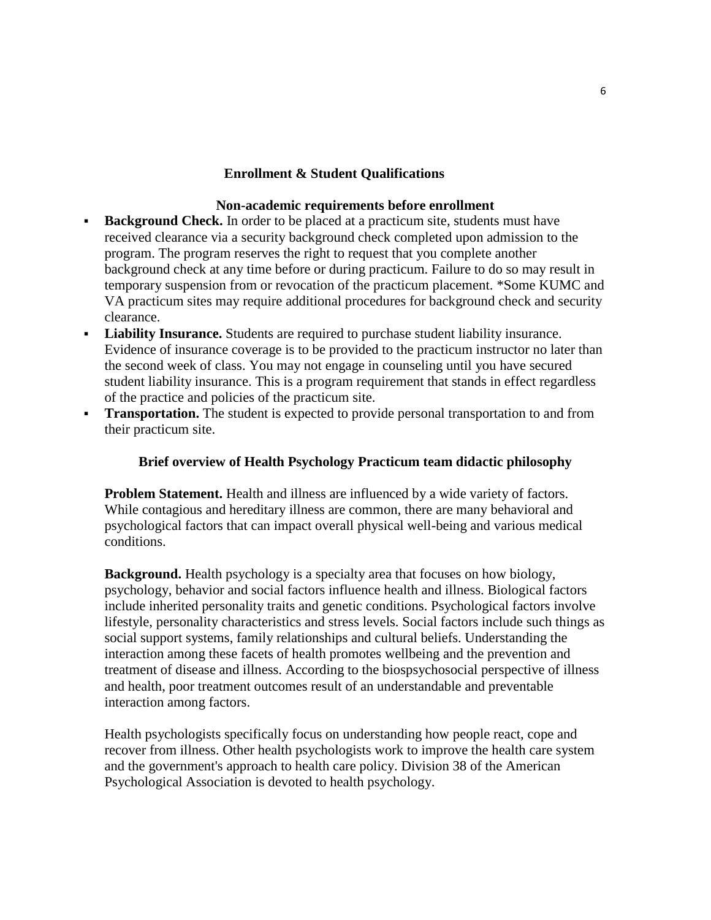## **Enrollment & Student Qualifications**

### **Non-academic requirements before enrollment**

- **Background Check.** In order to be placed at a practicum site, students must have received clearance via a security background check completed upon admission to the program. The program reserves the right to request that you complete another background check at any time before or during practicum. Failure to do so may result in temporary suspension from or revocation of the practicum placement. \*Some KUMC and VA practicum sites may require additional procedures for background check and security clearance.
- **Liability Insurance.** Students are required to purchase student liability insurance. Evidence of insurance coverage is to be provided to the practicum instructor no later than the second week of class. You may not engage in counseling until you have secured student liability insurance. This is a program requirement that stands in effect regardless of the practice and policies of the practicum site.
- **Transportation.** The student is expected to provide personal transportation to and from their practicum site.

## **Brief overview of Health Psychology Practicum team didactic philosophy**

**Problem Statement.** Health and illness are influenced by a wide variety of factors. While contagious and hereditary illness are common, there are many behavioral and psychological factors that can impact overall physical well-being and various medical conditions.

**Background.** Health psychology is a specialty area that focuses on how biology, psychology, behavior and social factors influence health and illness. Biological factors include inherited personality traits and genetic conditions. Psychological factors involve lifestyle, personality characteristics and stress levels. Social factors include such things as social support systems, family relationships and cultural beliefs. Understanding the interaction among these facets of health promotes wellbeing and the prevention and treatment of disease and illness. According to the biospsychosocial perspective of illness and health, poor treatment outcomes result of an understandable and preventable interaction among factors.

Health psychologists specifically focus on understanding how people react, cope and recover from illness. Other health psychologists work to improve the health care system and the government's approach to health care policy. Division 38 of the American Psychological Association is devoted to health psychology.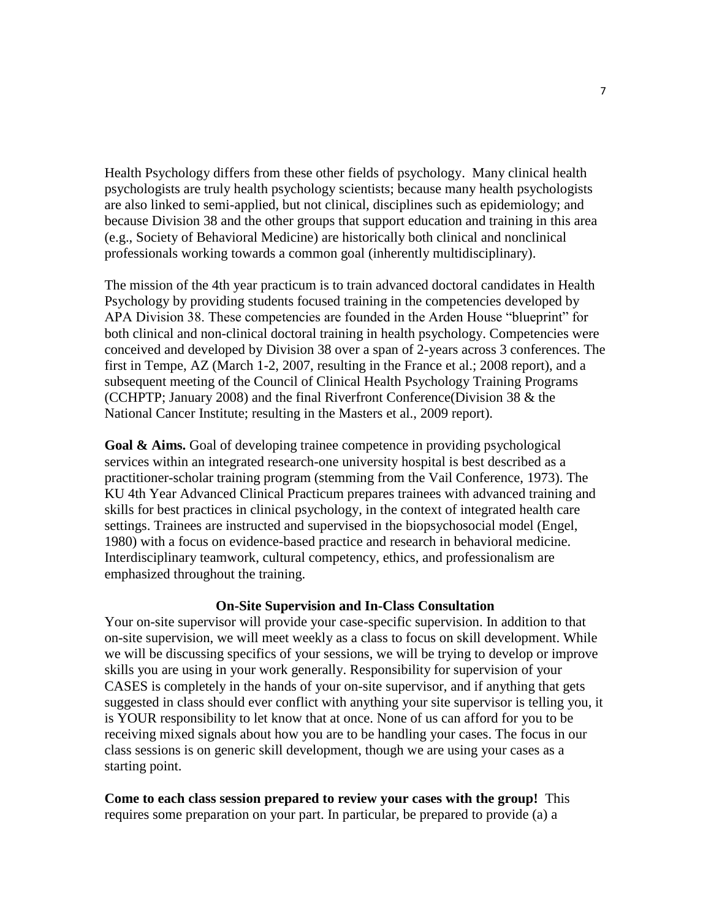Health Psychology differs from these other fields of psychology. Many clinical health psychologists are truly health psychology scientists; because many health psychologists are also linked to semi-applied, but not clinical, disciplines such as epidemiology; and because Division 38 and the other groups that support education and training in this area (e.g., Society of Behavioral Medicine) are historically both clinical and nonclinical professionals working towards a common goal (inherently multidisciplinary).

The mission of the 4th year practicum is to train advanced doctoral candidates in Health Psychology by providing students focused training in the competencies developed by APA Division 38. These competencies are founded in the Arden House "blueprint" for both clinical and non-clinical doctoral training in health psychology. Competencies were conceived and developed by Division 38 over a span of 2-years across 3 conferences. The first in Tempe, AZ (March 1-2, 2007, resulting in the France et al.; 2008 report), and a subsequent meeting of the Council of Clinical Health Psychology Training Programs (CCHPTP; January 2008) and the final Riverfront Conference(Division 38 & the National Cancer Institute; resulting in the Masters et al., 2009 report).

Goal & Aims. Goal of developing trainee competence in providing psychological services within an integrated research-one university hospital is best described as a practitioner-scholar training program (stemming from the Vail Conference, 1973). The KU 4th Year Advanced Clinical Practicum prepares trainees with advanced training and skills for best practices in clinical psychology, in the context of integrated health care settings. Trainees are instructed and supervised in the biopsychosocial model (Engel, 1980) with a focus on evidence-based practice and research in behavioral medicine. Interdisciplinary teamwork, cultural competency, ethics, and professionalism are emphasized throughout the training.

#### **On-Site Supervision and In-Class Consultation**

Your on-site supervisor will provide your case-specific supervision. In addition to that on-site supervision, we will meet weekly as a class to focus on skill development. While we will be discussing specifics of your sessions, we will be trying to develop or improve skills you are using in your work generally. Responsibility for supervision of your CASES is completely in the hands of your on-site supervisor, and if anything that gets suggested in class should ever conflict with anything your site supervisor is telling you, it is YOUR responsibility to let know that at once. None of us can afford for you to be receiving mixed signals about how you are to be handling your cases. The focus in our class sessions is on generic skill development, though we are using your cases as a starting point.

**Come to each class session prepared to review your cases with the group!** This requires some preparation on your part. In particular, be prepared to provide (a) a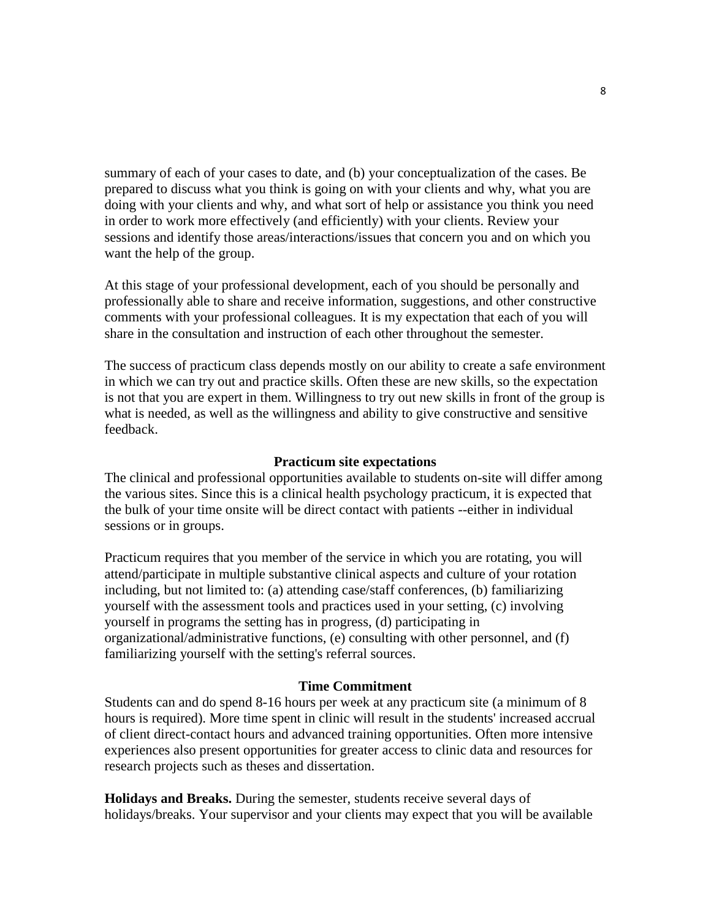summary of each of your cases to date, and (b) your conceptualization of the cases. Be prepared to discuss what you think is going on with your clients and why, what you are doing with your clients and why, and what sort of help or assistance you think you need in order to work more effectively (and efficiently) with your clients. Review your sessions and identify those areas/interactions/issues that concern you and on which you want the help of the group.

At this stage of your professional development, each of you should be personally and professionally able to share and receive information, suggestions, and other constructive comments with your professional colleagues. It is my expectation that each of you will share in the consultation and instruction of each other throughout the semester.

The success of practicum class depends mostly on our ability to create a safe environment in which we can try out and practice skills. Often these are new skills, so the expectation is not that you are expert in them. Willingness to try out new skills in front of the group is what is needed, as well as the willingness and ability to give constructive and sensitive feedback.

#### **Practicum site expectations**

The clinical and professional opportunities available to students on-site will differ among the various sites. Since this is a clinical health psychology practicum, it is expected that the bulk of your time onsite will be direct contact with patients --either in individual sessions or in groups.

Practicum requires that you member of the service in which you are rotating, you will attend/participate in multiple substantive clinical aspects and culture of your rotation including, but not limited to: (a) attending case/staff conferences, (b) familiarizing yourself with the assessment tools and practices used in your setting, (c) involving yourself in programs the setting has in progress, (d) participating in organizational/administrative functions, (e) consulting with other personnel, and (f) familiarizing yourself with the setting's referral sources.

## **Time Commitment**

Students can and do spend 8-16 hours per week at any practicum site (a minimum of 8 hours is required). More time spent in clinic will result in the students' increased accrual of client direct-contact hours and advanced training opportunities. Often more intensive experiences also present opportunities for greater access to clinic data and resources for research projects such as theses and dissertation.

**Holidays and Breaks.** During the semester, students receive several days of holidays/breaks. Your supervisor and your clients may expect that you will be available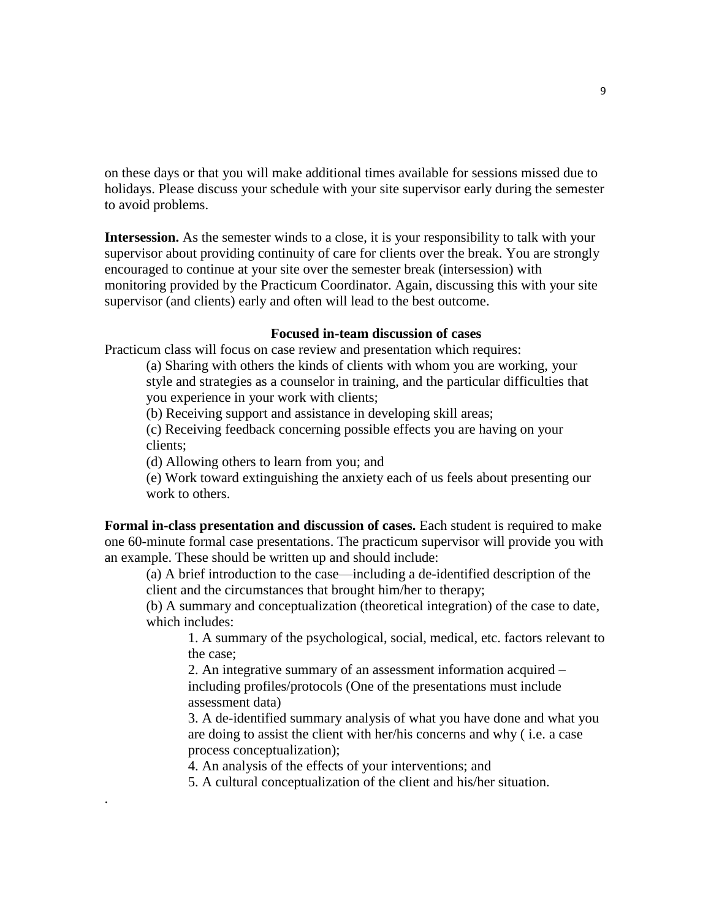on these days or that you will make additional times available for sessions missed due to holidays. Please discuss your schedule with your site supervisor early during the semester to avoid problems.

**Intersession.** As the semester winds to a close, it is your responsibility to talk with your supervisor about providing continuity of care for clients over the break. You are strongly encouraged to continue at your site over the semester break (intersession) with monitoring provided by the Practicum Coordinator. Again, discussing this with your site supervisor (and clients) early and often will lead to the best outcome.

#### **Focused in-team discussion of cases**

Practicum class will focus on case review and presentation which requires:

(a) Sharing with others the kinds of clients with whom you are working, your style and strategies as a counselor in training, and the particular difficulties that you experience in your work with clients;

(b) Receiving support and assistance in developing skill areas;

(c) Receiving feedback concerning possible effects you are having on your clients;

(d) Allowing others to learn from you; and

.

(e) Work toward extinguishing the anxiety each of us feels about presenting our work to others.

**Formal in-class presentation and discussion of cases.** Each student is required to make one 60-minute formal case presentations. The practicum supervisor will provide you with an example. These should be written up and should include:

(a) A brief introduction to the case—including a de-identified description of the client and the circumstances that brought him/her to therapy;

(b) A summary and conceptualization (theoretical integration) of the case to date, which includes:

1. A summary of the psychological, social, medical, etc. factors relevant to the case;

2. An integrative summary of an assessment information acquired – including profiles/protocols (One of the presentations must include assessment data)

3. A de-identified summary analysis of what you have done and what you are doing to assist the client with her/his concerns and why ( i.e. a case process conceptualization);

4. An analysis of the effects of your interventions; and

5. A cultural conceptualization of the client and his/her situation.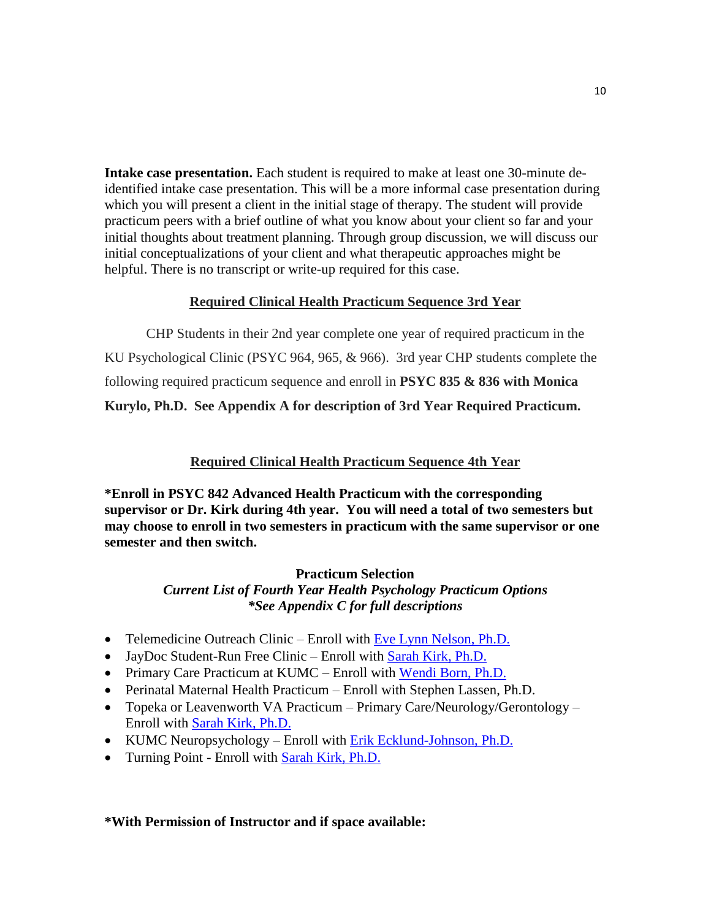**Intake case presentation.** Each student is required to make at least one 30-minute deidentified intake case presentation. This will be a more informal case presentation during which you will present a client in the initial stage of therapy. The student will provide practicum peers with a brief outline of what you know about your client so far and your initial thoughts about treatment planning. Through group discussion, we will discuss our initial conceptualizations of your client and what therapeutic approaches might be helpful. There is no transcript or write-up required for this case.

# **Required Clinical Health Practicum Sequence 3rd Year**

CHP Students in their 2nd year complete one year of required practicum in the KU Psychological Clinic (PSYC 964, 965, & 966). 3rd year CHP students complete the following required practicum sequence and enroll in **PSYC 835 & 836 with Monica** 

**Kurylo, Ph.D. See Appendix A for description of 3rd Year Required Practicum.**

# **Required Clinical Health Practicum Sequence 4th Year**

**\*Enroll in PSYC 842 Advanced Health Practicum with the corresponding supervisor or Dr. Kirk during 4th year. You will need a total of two semesters but may choose to enroll in two semesters in practicum with the same supervisor or one semester and then switch.** 

## **Practicum Selection**

# *Current List of Fourth Year Health Psychology Practicum Options \*See Appendix C for full descriptions*

- Telemedicine Outreach Clinic Enroll with [Eve Lynn Nelson, Ph.D.](mailto:enelson2@kumc.edu)
- JayDoc Student-Run Free Clinic Enroll with [Sarah Kirk, Ph.D.](mailto:skirk@ku.edu)
- Primary Care Practicum at KUMC Enroll with [Wendi Born, Ph.D.](http://www.kumc.edu/school-of-medicine/family-medicine/our-faculty/wendi-born-phd.html)
- Perinatal Maternal Health Practicum Enroll with Stephen Lassen, Ph.D.
- Topeka or Leavenworth VA Practicum Primary Care/Neurology/Gerontology Enroll with [Sarah Kirk, Ph.D.](mailto:skirk@ku.edu)
- KUMC Neuropsychology Enroll with [Erik Ecklund-Johnson, Ph.D.](mailto:eeckulund-johnson@kumc.edu)
- Turning Point Enroll with [Sarah Kirk, Ph.D.](mailto:skirk@ku.edu)

## **\*With Permission of Instructor and if space available:**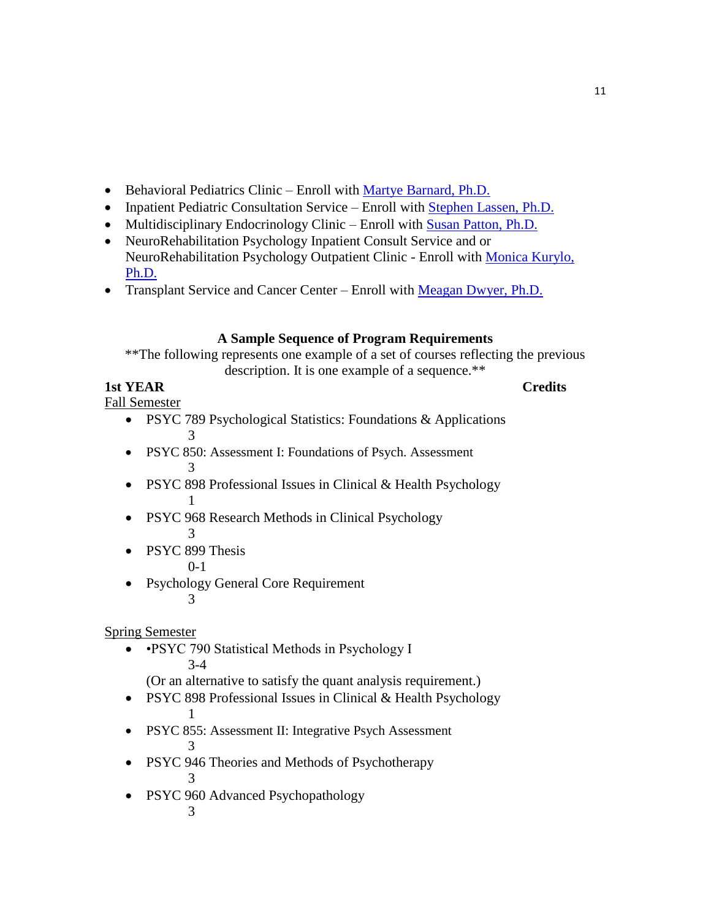- Behavioral Pediatrics Clinic Enroll with [Martye Barnard, Ph.D.](mailto:mbarnard@kumc.edu)
- Inpatient Pediatric Consultation Service Enroll with [Stephen Lassen, Ph.D.](mailto:slassen@kumc.edu)
- Multidisciplinary Endocrinology Clinic Enroll with [Susan Patton, Ph.D.](mailto:spatton2@kumc.edu)
- NeuroRehabilitation Psychology Inpatient Consult Service and or NeuroRehabilitation Psychology Outpatient Clinic - Enroll with [Monica Kurylo,](mailto:mkurylo@kumc.edu)  [Ph.D.](mailto:mkurylo@kumc.edu)
- Transplant Service and Cancer Center Enroll with [Meagan Dwyer, Ph.D.](mailto:mdwyer@kumc.edu)

# **A Sample Sequence of Program Requirements**

\*\*The following represents one example of a set of courses reflecting the previous description. It is one example of a sequence.\*\*

# **1st YEAR** Credits

Fall Semester

- PSYC 789 Psychological Statistics: Foundations & Applications 3
- PSYC 850: Assessment I: Foundations of Psych. Assessment 3
- PSYC 898 Professional Issues in Clinical & Health Psychology 1
- PSYC 968 Research Methods in Clinical Psychology 3
- PSYC 899 Thesis

0-1

• Psychology General Core Requirement 3

Spring Semester

• •PSYC 790 Statistical Methods in Psychology I 3-4

(Or an alternative to satisfy the quant analysis requirement.)

- PSYC 898 Professional Issues in Clinical & Health Psychology 1
- PSYC 855: Assessment II: Integrative Psych Assessment 3
- PSYC 946 Theories and Methods of Psychotherapy

3

• PSYC 960 Advanced Psychopathology

3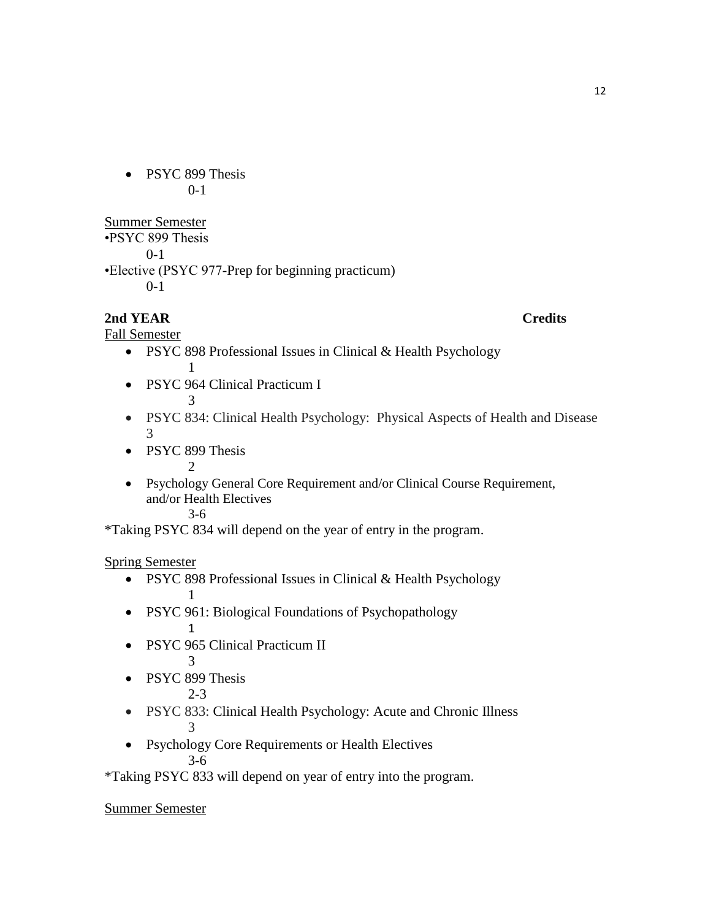• PSYC 899 Thesis 0-1

Summer Semester •PSYC 899 Thesis 0-1 •Elective (PSYC 977-Prep for beginning practicum)

 $0-1$ 

# **2nd YEAR** Credits

Fall Semester

- PSYC 898 Professional Issues in Clinical & Health Psychology 1
- PSYC 964 Clinical Practicum I 3
- PSYC 834: Clinical Health Psychology: Physical Aspects of Health and Disease 3
- PSYC 899 Thesis 2
- Psychology General Core Requirement and/or Clinical Course Requirement, and/or Health Electives 3-6

\*Taking PSYC 834 will depend on the year of entry in the program.

Spring Semester

- PSYC 898 Professional Issues in Clinical & Health Psychology 1
- PSYC 961: Biological Foundations of Psychopathology 1
- PSYC 965 Clinical Practicum II

3

• PSYC 899 Thesis

2-3

- PSYC 833: Clinical Health Psychology: Acute and Chronic Illness 3
- Psychology Core Requirements or Health Electives 3-6

\*Taking PSYC 833 will depend on year of entry into the program.

Summer Semester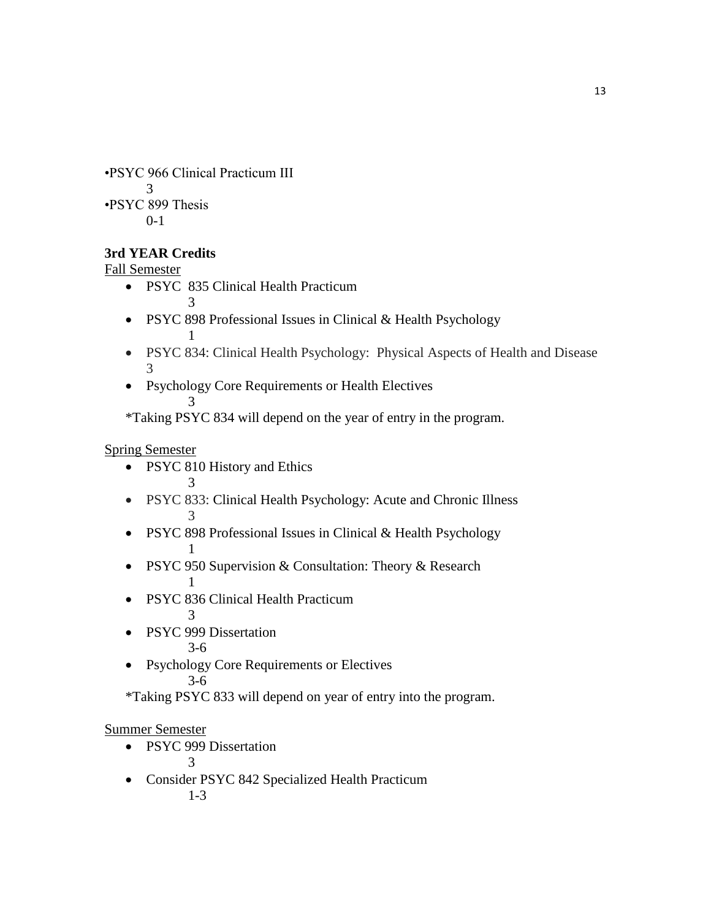•PSYC 966 Clinical Practicum III 3 •PSYC 899 Thesis 0-1

# **3rd YEAR Credits**

Fall Semester

• PSYC 835 Clinical Health Practicum

3

- PSYC 898 Professional Issues in Clinical & Health Psychology 1
- PSYC 834: Clinical Health Psychology: Physical Aspects of Health and Disease 3
- Psychology Core Requirements or Health Electives 3

\*Taking PSYC 834 will depend on the year of entry in the program.

# Spring Semester

• PSYC 810 History and Ethics

3

- PSYC 833: Clinical Health Psychology: Acute and Chronic Illness 3
- PSYC 898 Professional Issues in Clinical & Health Psychology 1
- PSYC 950 Supervision & Consultation: Theory & Research 1
- PSYC 836 Clinical Health Practicum

3

• PSYC 999 Dissertation

3-6

• Psychology Core Requirements or Electives 3-6

\*Taking PSYC 833 will depend on year of entry into the program.

# Summer Semester

• PSYC 999 Dissertation 3

 Consider PSYC 842 Specialized Health Practicum 1-3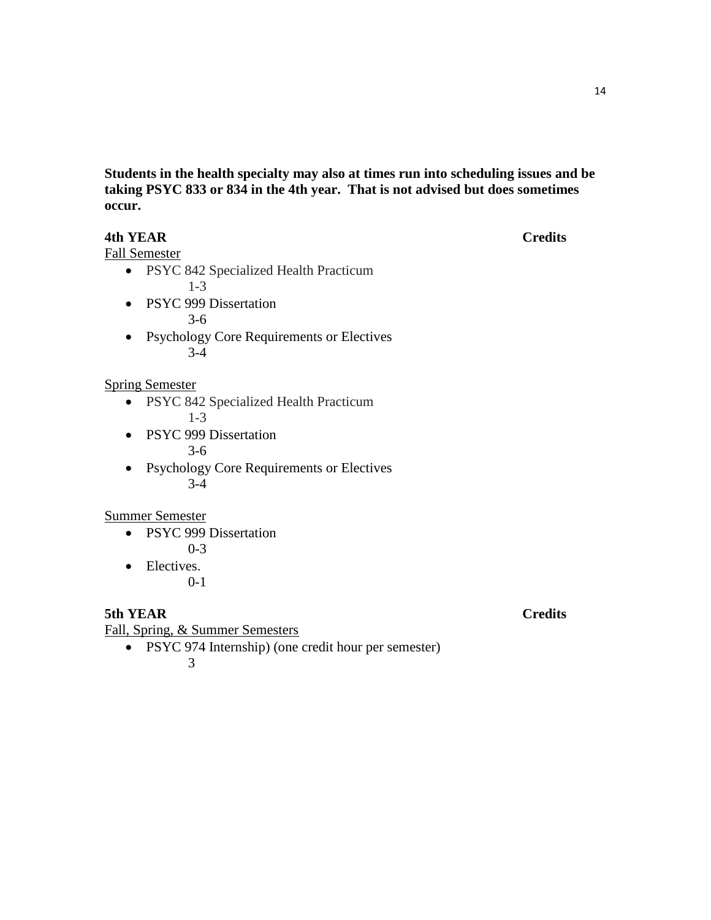**Students in the health specialty may also at times run into scheduling issues and be taking PSYC 833 or 834 in the 4th year. That is not advised but does sometimes occur.**

# **4th YEAR Credits**

Fall Semester

- PSYC 842 Specialized Health Practicum 1-3
- PSYC 999 Dissertation 3-6
- Psychology Core Requirements or Electives 3-4

Spring Semester

- PSYC 842 Specialized Health Practicum 1-3
- PSYC 999 Dissertation 3-6
- Psychology Core Requirements or Electives 3-4

Summer Semester

- PSYC 999 Dissertation 0-3
- Electives.
	- 0-1

**5th YEAR Credits**

Fall, Spring, & Summer Semesters

• PSYC 974 Internship) (one credit hour per semester)

3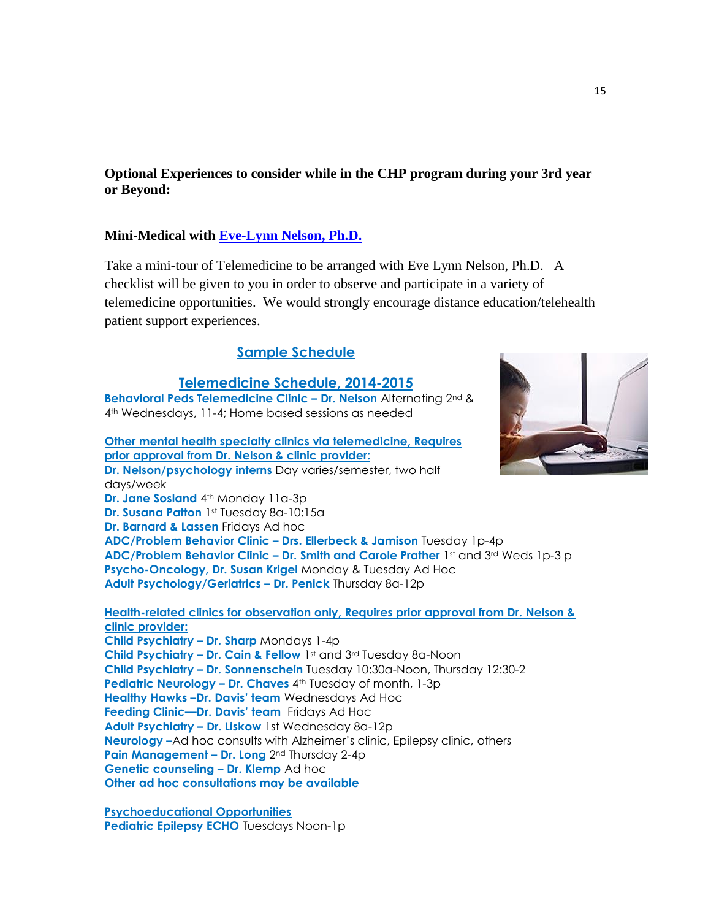**Optional Experiences to consider while in the CHP program during your 3rd year or Beyond:**

## **Mini-Medical with [Eve-Lynn Nelson, Ph.D.](mailto:enelson2@kumc.edu)**

Take a mini-tour of Telemedicine to be arranged with Eve Lynn Nelson, Ph.D. A checklist will be given to you in order to observe and participate in a variety of telemedicine opportunities. We would strongly encourage distance education/telehealth patient support experiences.

# **Sample Schedule**

## **Telemedicine Schedule, 2014-2015**

**Behavioral Peds Telemedicine Clinic – Dr. Nelson** Alternating 2nd & 4th Wednesdays, 11-4; Home based sessions as needed

**Other mental health specialty clinics via telemedicine, Requires prior approval from Dr. Nelson & clinic provider: Dr. Nelson/psychology interns** Day varies/semester, two half days/week **Dr. Jane Sosland** 4<sup>th</sup> Monday 11a-3p **Dr. Susana Patton** 1st Tuesday 8a-10:15a **Dr. Barnard & Lassen** Fridays Ad hoc **ADC/Problem Behavior Clinic – Drs. Ellerbeck & Jamison** Tuesday 1p-4p

**ADC/Problem Behavior Clinic – Dr. Smith and Carole Prather** 1st and 3rd Weds 1p-3 p **Psycho-Oncology, Dr. Susan Krigel** Monday & Tuesday Ad Hoc **Adult Psychology/Geriatrics – Dr. Penick** Thursday 8a-12p

**Health-related clinics for observation only, Requires prior approval from Dr. Nelson & clinic provider:**

**Child Psychiatry – Dr. Sharp** Mondays 1-4p **Child Psychiatry – Dr. Cain & Fellow** 1st and 3rd Tuesday 8a-Noon **Child Psychiatry – Dr. Sonnenschein** Tuesday 10:30a-Noon, Thursday 12:30-2 **Pediatric Neurology - Dr. Chaves**  $4<sup>th</sup>$  **Tuesday of month, 1-3p Healthy Hawks –Dr. Davis' team** Wednesdays Ad Hoc **Feeding Clinic—Dr. Davis' team** Fridays Ad Hoc **Adult Psychiatry – Dr. Liskow** 1st Wednesday 8a-12p **Neurology –**Ad hoc consults with Alzheimer's clinic, Epilepsy clinic, others **Pain Management – Dr. Long** 2nd Thursday 2-4p **Genetic counseling – Dr. Klemp** Ad hoc **Other ad hoc consultations may be available**

**Psychoeducational Opportunities Pediatric Epilepsy ECHO** Tuesdays Noon-1p

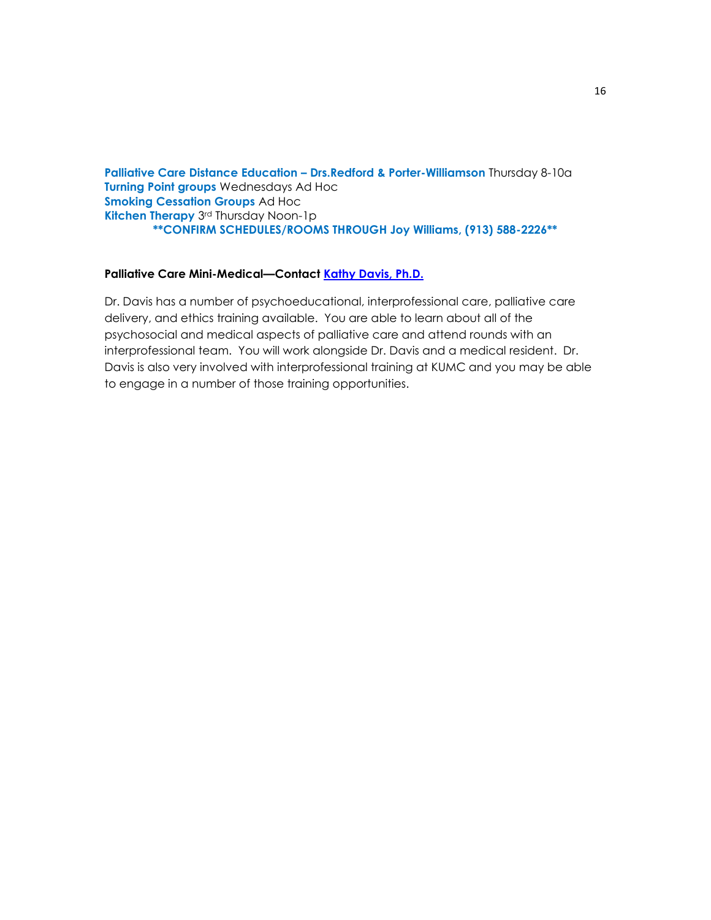**Palliative Care Distance Education – Drs.Redford & Porter-Williamson** Thursday 8-10a **Turning Point groups** Wednesdays Ad Hoc **Smoking Cessation Groups** Ad Hoc **Kitchen Therapy** 3rd Thursday Noon-1p **\*\*CONFIRM SCHEDULES/ROOMS THROUGH Joy Williams, (913) 588-2226\*\***

#### **Palliative Care Mini-Medical—Contact [Kathy Davis, Ph.D.](mailto:kdavis2@kumc.edu)**

Dr. Davis has a number of psychoeducational, interprofessional care, palliative care delivery, and ethics training available. You are able to learn about all of the psychosocial and medical aspects of palliative care and attend rounds with an interprofessional team. You will work alongside Dr. Davis and a medical resident. Dr. Davis is also very involved with interprofessional training at KUMC and you may be able to engage in a number of those training opportunities.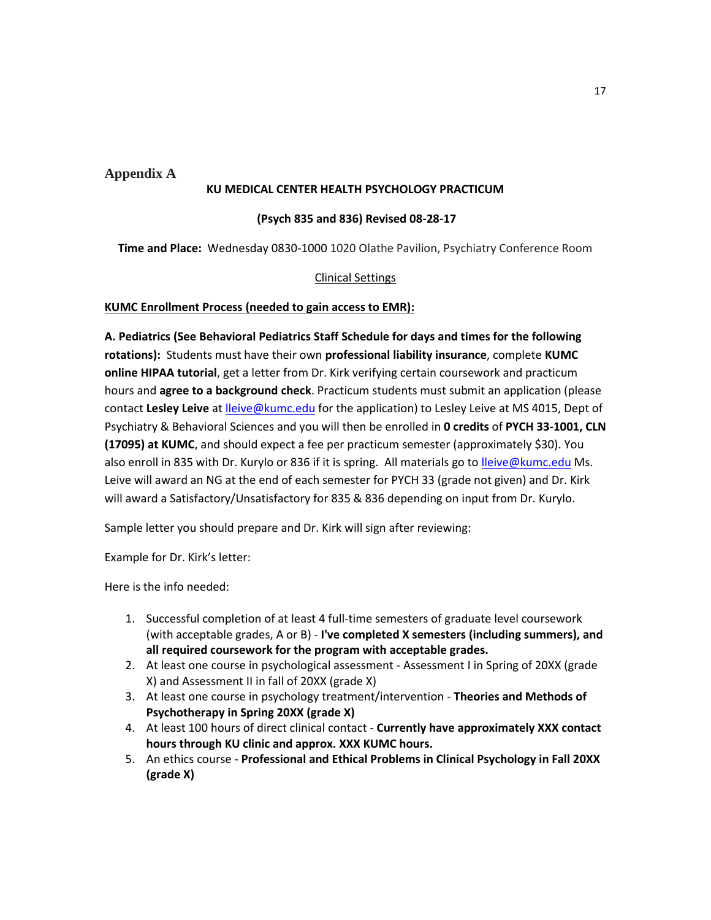**Appendix A**

#### **KU MEDICAL CENTER HEALTH PSYCHOLOGY PRACTICUM**

#### **(Psych 835 and 836) Revised 08-28-17**

**Time and Place:** Wednesday 0830-1000 1020 Olathe Pavilion, Psychiatry Conference Room

## Clinical Settings

#### **KUMC Enrollment Process (needed to gain access to EMR):**

**A. Pediatrics (See Behavioral Pediatrics Staff Schedule for days and times for the following rotations):** Students must have their own **professional liability insurance**, complete **KUMC online HIPAA tutorial**, get a letter from Dr. Kirk verifying certain coursework and practicum hours and **agree to a background check**. Practicum students must submit an application (please contact **Lesley Leive** at [lleive@kumc.edu](mailto:lleive@kumc.edu) for the application) to Lesley Leive at MS 4015, Dept of Psychiatry & Behavioral Sciences and you will then be enrolled in **0 credits** of **PYCH 33-1001, CLN (17095) at KUMC**, and should expect a fee per practicum semester (approximately \$30). You also enroll in 835 with Dr. Kurylo or 836 if it is spring. All materials go t[o lleive@kumc.edu](mailto:lleive@kumc.edu) Ms. Leive will award an NG at the end of each semester for PYCH 33 (grade not given) and Dr. Kirk will award a Satisfactory/Unsatisfactory for 835 & 836 depending on input from Dr. Kurylo.

Sample letter you should prepare and Dr. Kirk will sign after reviewing:

Example for Dr. Kirk's letter:

Here is the info needed:

- 1. Successful completion of at least 4 full-time semesters of graduate level coursework (with acceptable grades, A or B) - **I've completed X semesters (including summers), and all required coursework for the program with acceptable grades.**
- 2. At least one course in psychological assessment Assessment I in Spring of 20XX (grade X) and Assessment II in fall of 20XX (grade X)
- 3. At least one course in psychology treatment/intervention **Theories and Methods of Psychotherapy in Spring 20XX (grade X)**
- 4. At least 100 hours of direct clinical contact **Currently have approximately XXX contact hours through KU clinic and approx. XXX KUMC hours.**
- 5. An ethics course **Professional and Ethical Problems in Clinical Psychology in Fall 20XX (grade X)**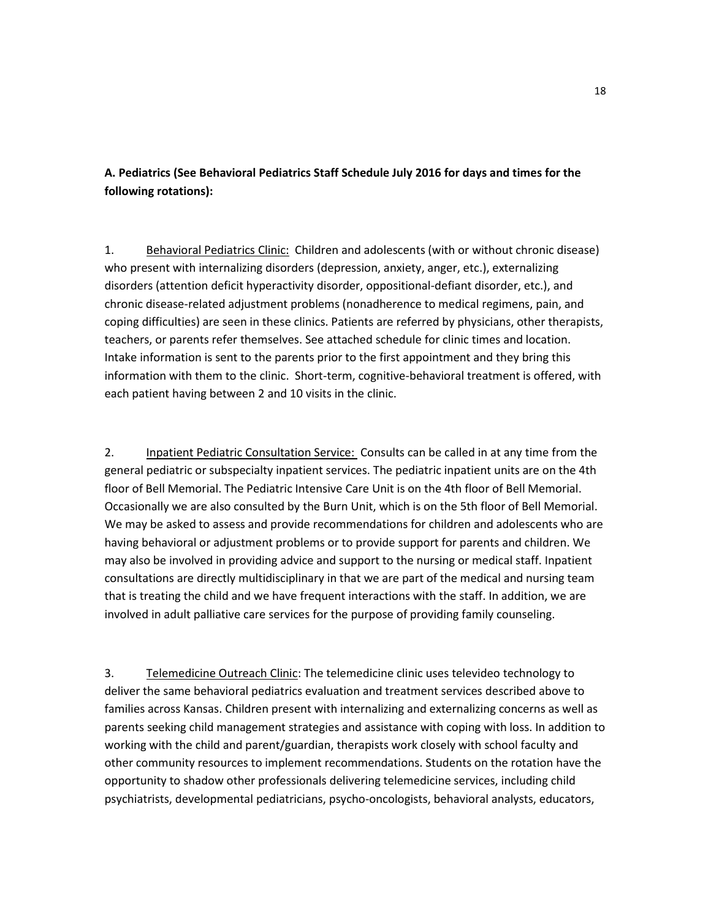# **A. Pediatrics (See Behavioral Pediatrics Staff Schedule July 2016 for days and times for the following rotations):**

1. Behavioral Pediatrics Clinic: Children and adolescents (with or without chronic disease) who present with internalizing disorders (depression, anxiety, anger, etc.), externalizing disorders (attention deficit hyperactivity disorder, oppositional-defiant disorder, etc.), and chronic disease-related adjustment problems (nonadherence to medical regimens, pain, and coping difficulties) are seen in these clinics. Patients are referred by physicians, other therapists, teachers, or parents refer themselves. See attached schedule for clinic times and location. Intake information is sent to the parents prior to the first appointment and they bring this information with them to the clinic. Short-term, cognitive-behavioral treatment is offered, with each patient having between 2 and 10 visits in the clinic.

2. Inpatient Pediatric Consultation Service: Consults can be called in at any time from the general pediatric or subspecialty inpatient services. The pediatric inpatient units are on the 4th floor of Bell Memorial. The Pediatric Intensive Care Unit is on the 4th floor of Bell Memorial. Occasionally we are also consulted by the Burn Unit, which is on the 5th floor of Bell Memorial. We may be asked to assess and provide recommendations for children and adolescents who are having behavioral or adjustment problems or to provide support for parents and children. We may also be involved in providing advice and support to the nursing or medical staff. Inpatient consultations are directly multidisciplinary in that we are part of the medical and nursing team that is treating the child and we have frequent interactions with the staff. In addition, we are involved in adult palliative care services for the purpose of providing family counseling.

3. Telemedicine Outreach Clinic: The telemedicine clinic uses televideo technology to deliver the same behavioral pediatrics evaluation and treatment services described above to families across Kansas. Children present with internalizing and externalizing concerns as well as parents seeking child management strategies and assistance with coping with loss. In addition to working with the child and parent/guardian, therapists work closely with school faculty and other community resources to implement recommendations. Students on the rotation have the opportunity to shadow other professionals delivering telemedicine services, including child psychiatrists, developmental pediatricians, psycho-oncologists, behavioral analysts, educators,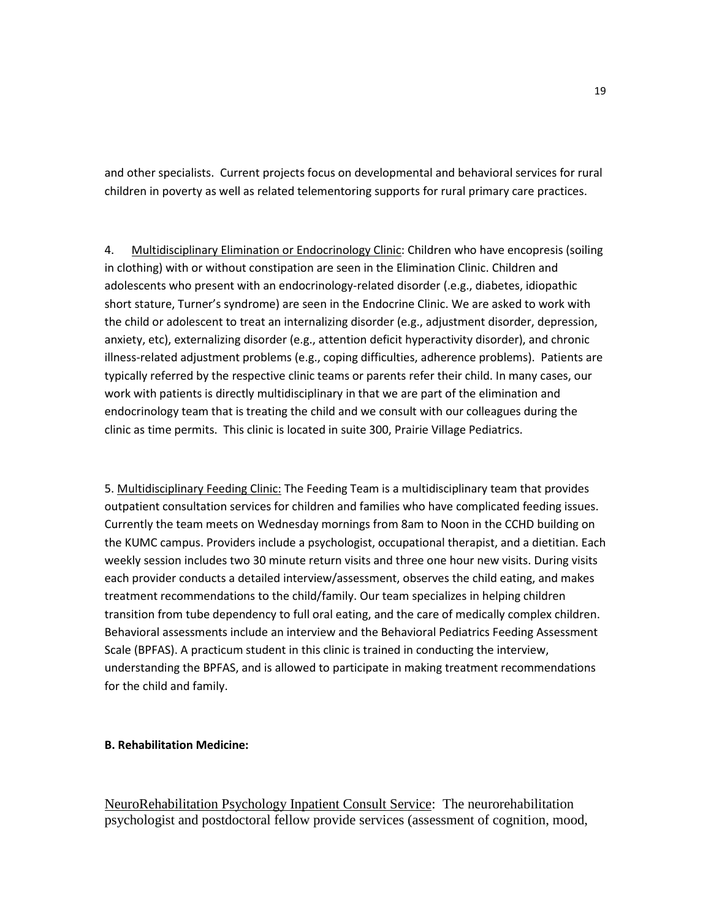and other specialists. Current projects focus on developmental and behavioral services for rural children in poverty as well as related telementoring supports for rural primary care practices.

4. Multidisciplinary Elimination or Endocrinology Clinic: Children who have encopresis (soiling in clothing) with or without constipation are seen in the Elimination Clinic. Children and adolescents who present with an endocrinology-related disorder (.e.g., diabetes, idiopathic short stature, Turner's syndrome) are seen in the Endocrine Clinic. We are asked to work with the child or adolescent to treat an internalizing disorder (e.g., adjustment disorder, depression, anxiety, etc), externalizing disorder (e.g., attention deficit hyperactivity disorder), and chronic illness-related adjustment problems (e.g., coping difficulties, adherence problems). Patients are typically referred by the respective clinic teams or parents refer their child. In many cases, our work with patients is directly multidisciplinary in that we are part of the elimination and endocrinology team that is treating the child and we consult with our colleagues during the clinic as time permits. This clinic is located in suite 300, Prairie Village Pediatrics.

5. Multidisciplinary Feeding Clinic: The Feeding Team is a multidisciplinary team that provides outpatient consultation services for children and families who have complicated feeding issues. Currently the team meets on Wednesday mornings from 8am to Noon in the CCHD building on the KUMC campus. Providers include a psychologist, occupational therapist, and a dietitian. Each weekly session includes two 30 minute return visits and three one hour new visits. During visits each provider conducts a detailed interview/assessment, observes the child eating, and makes treatment recommendations to the child/family. Our team specializes in helping children transition from tube dependency to full oral eating, and the care of medically complex children. Behavioral assessments include an interview and the Behavioral Pediatrics Feeding Assessment Scale (BPFAS). A practicum student in this clinic is trained in conducting the interview, understanding the BPFAS, and is allowed to participate in making treatment recommendations for the child and family.

#### **B. Rehabilitation Medicine:**

NeuroRehabilitation Psychology Inpatient Consult Service: The neurorehabilitation psychologist and postdoctoral fellow provide services (assessment of cognition, mood,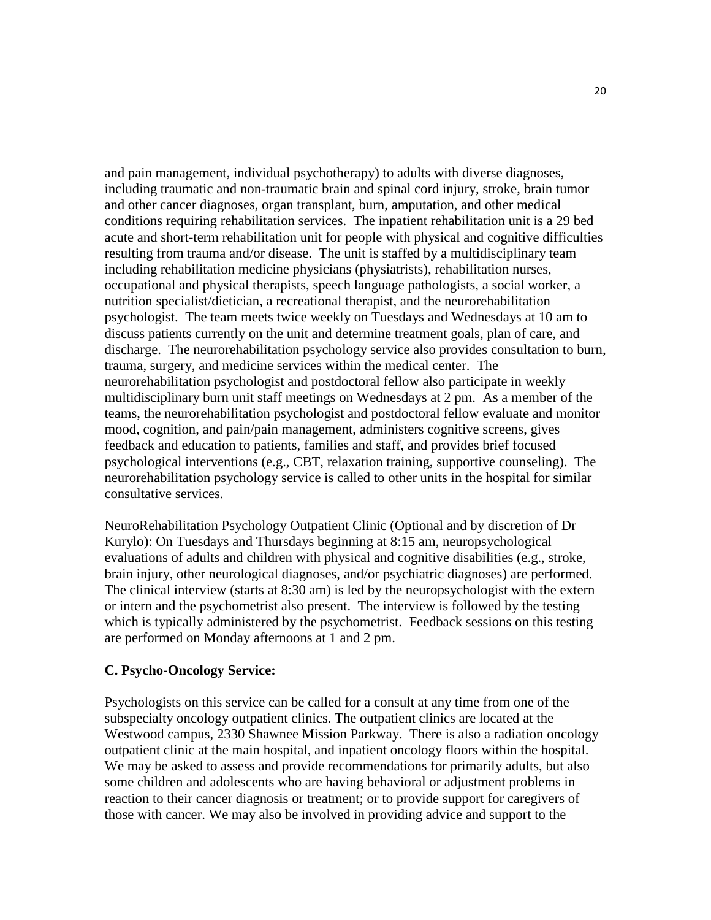and pain management, individual psychotherapy) to adults with diverse diagnoses, including traumatic and non-traumatic brain and spinal cord injury, stroke, brain tumor and other cancer diagnoses, organ transplant, burn, amputation, and other medical conditions requiring rehabilitation services. The inpatient rehabilitation unit is a 29 bed acute and short-term rehabilitation unit for people with physical and cognitive difficulties resulting from trauma and/or disease. The unit is staffed by a multidisciplinary team including rehabilitation medicine physicians (physiatrists), rehabilitation nurses, occupational and physical therapists, speech language pathologists, a social worker, a nutrition specialist/dietician, a recreational therapist, and the neurorehabilitation psychologist. The team meets twice weekly on Tuesdays and Wednesdays at 10 am to discuss patients currently on the unit and determine treatment goals, plan of care, and discharge. The neurorehabilitation psychology service also provides consultation to burn, trauma, surgery, and medicine services within the medical center. The neurorehabilitation psychologist and postdoctoral fellow also participate in weekly multidisciplinary burn unit staff meetings on Wednesdays at 2 pm. As a member of the teams, the neurorehabilitation psychologist and postdoctoral fellow evaluate and monitor mood, cognition, and pain/pain management, administers cognitive screens, gives feedback and education to patients, families and staff, and provides brief focused psychological interventions (e.g., CBT, relaxation training, supportive counseling). The neurorehabilitation psychology service is called to other units in the hospital for similar consultative services.

NeuroRehabilitation Psychology Outpatient Clinic (Optional and by discretion of Dr Kurylo): On Tuesdays and Thursdays beginning at 8:15 am, neuropsychological evaluations of adults and children with physical and cognitive disabilities (e.g., stroke, brain injury, other neurological diagnoses, and/or psychiatric diagnoses) are performed. The clinical interview (starts at 8:30 am) is led by the neuropsychologist with the extern or intern and the psychometrist also present. The interview is followed by the testing which is typically administered by the psychometrist. Feedback sessions on this testing are performed on Monday afternoons at 1 and 2 pm.

## **C. Psycho-Oncology Service:**

Psychologists on this service can be called for a consult at any time from one of the subspecialty oncology outpatient clinics. The outpatient clinics are located at the Westwood campus, 2330 Shawnee Mission Parkway. There is also a radiation oncology outpatient clinic at the main hospital, and inpatient oncology floors within the hospital. We may be asked to assess and provide recommendations for primarily adults, but also some children and adolescents who are having behavioral or adjustment problems in reaction to their cancer diagnosis or treatment; or to provide support for caregivers of those with cancer. We may also be involved in providing advice and support to the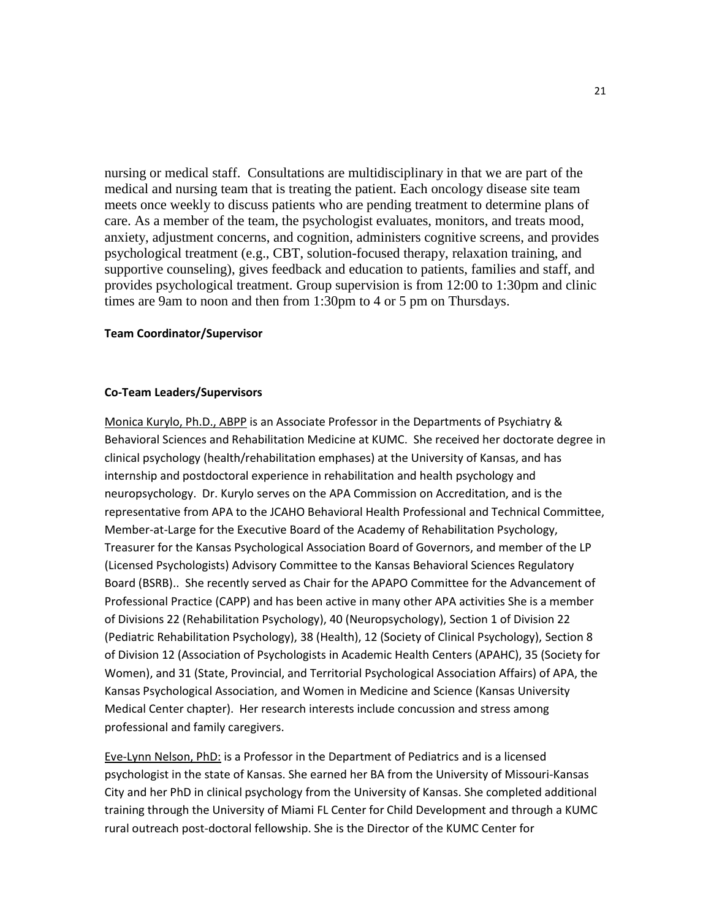nursing or medical staff. Consultations are multidisciplinary in that we are part of the medical and nursing team that is treating the patient. Each oncology disease site team meets once weekly to discuss patients who are pending treatment to determine plans of care. As a member of the team, the psychologist evaluates, monitors, and treats mood, anxiety, adjustment concerns, and cognition, administers cognitive screens, and provides psychological treatment (e.g., CBT, solution-focused therapy, relaxation training, and supportive counseling), gives feedback and education to patients, families and staff, and provides psychological treatment. Group supervision is from 12:00 to 1:30pm and clinic times are 9am to noon and then from 1:30pm to 4 or 5 pm on Thursdays.

#### **Team Coordinator/Supervisor**

#### **Co-Team Leaders/Supervisors**

Monica Kurylo, Ph.D., ABPP is an Associate Professor in the Departments of Psychiatry & Behavioral Sciences and Rehabilitation Medicine at KUMC. She received her doctorate degree in clinical psychology (health/rehabilitation emphases) at the University of Kansas, and has internship and postdoctoral experience in rehabilitation and health psychology and neuropsychology. Dr. Kurylo serves on the APA Commission on Accreditation, and is the representative from APA to the JCAHO Behavioral Health Professional and Technical Committee, Member-at-Large for the Executive Board of the Academy of Rehabilitation Psychology, Treasurer for the Kansas Psychological Association Board of Governors, and member of the LP (Licensed Psychologists) Advisory Committee to the Kansas Behavioral Sciences Regulatory Board (BSRB).. She recently served as Chair for the APAPO Committee for the Advancement of Professional Practice (CAPP) and has been active in many other APA activities She is a member of Divisions 22 (Rehabilitation Psychology), 40 (Neuropsychology), Section 1 of Division 22 (Pediatric Rehabilitation Psychology), 38 (Health), 12 (Society of Clinical Psychology), Section 8 of Division 12 (Association of Psychologists in Academic Health Centers (APAHC), 35 (Society for Women), and 31 (State, Provincial, and Territorial Psychological Association Affairs) of APA, the Kansas Psychological Association, and Women in Medicine and Science (Kansas University Medical Center chapter). Her research interests include concussion and stress among professional and family caregivers.

Eve-Lynn Nelson, PhD: is a Professor in the Department of Pediatrics and is a licensed psychologist in the state of Kansas. She earned her BA from the University of Missouri-Kansas City and her PhD in clinical psychology from the University of Kansas. She completed additional training through the University of Miami FL Center for Child Development and through a KUMC rural outreach post-doctoral fellowship. She is the Director of the KUMC Center for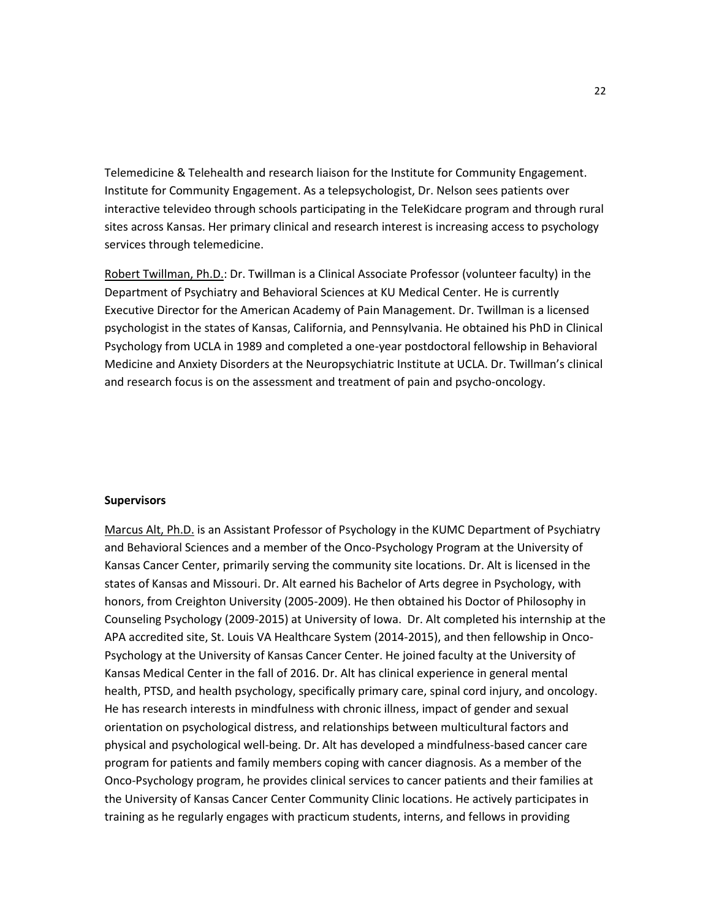Telemedicine & Telehealth and research liaison for the Institute for Community Engagement. Institute for Community Engagement. As a telepsychologist, Dr. Nelson sees patients over interactive televideo through schools participating in the TeleKidcare program and through rural sites across Kansas. Her primary clinical and research interest is increasing access to psychology services through telemedicine.

Robert Twillman, Ph.D.: Dr. Twillman is a Clinical Associate Professor (volunteer faculty) in the Department of Psychiatry and Behavioral Sciences at KU Medical Center. He is currently Executive Director for the American Academy of Pain Management. Dr. Twillman is a licensed psychologist in the states of Kansas, California, and Pennsylvania. He obtained his PhD in Clinical Psychology from UCLA in 1989 and completed a one-year postdoctoral fellowship in Behavioral Medicine and Anxiety Disorders at the Neuropsychiatric Institute at UCLA. Dr. Twillman's clinical and research focus is on the assessment and treatment of pain and psycho-oncology.

#### **Supervisors**

Marcus Alt, Ph.D. is an Assistant Professor of Psychology in the KUMC Department of Psychiatry and Behavioral Sciences and a member of the Onco-Psychology Program at the University of Kansas Cancer Center, primarily serving the community site locations. Dr. Alt is licensed in the states of Kansas and Missouri. Dr. Alt earned his Bachelor of Arts degree in Psychology, with honors, from Creighton University (2005-2009). He then obtained his Doctor of Philosophy in Counseling Psychology (2009-2015) at University of Iowa. Dr. Alt completed his internship at the APA accredited site, St. Louis VA Healthcare System (2014-2015), and then fellowship in Onco-Psychology at the University of Kansas Cancer Center. He joined faculty at the University of Kansas Medical Center in the fall of 2016. Dr. Alt has clinical experience in general mental health, PTSD, and health psychology, specifically primary care, spinal cord injury, and oncology. He has research interests in mindfulness with chronic illness, impact of gender and sexual orientation on psychological distress, and relationships between multicultural factors and physical and psychological well-being. Dr. Alt has developed a mindfulness-based cancer care program for patients and family members coping with cancer diagnosis. As a member of the Onco-Psychology program, he provides clinical services to cancer patients and their families at the University of Kansas Cancer Center Community Clinic locations. He actively participates in training as he regularly engages with practicum students, interns, and fellows in providing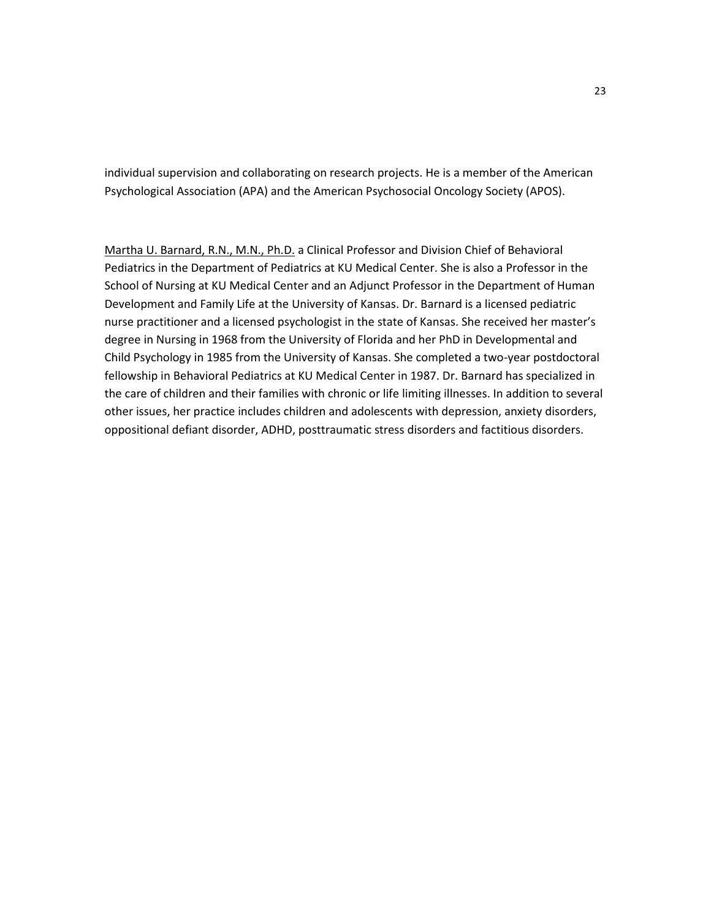individual supervision and collaborating on research projects. He is a member of the American Psychological Association (APA) and the American Psychosocial Oncology Society (APOS).

Martha U. Barnard, R.N., M.N., Ph.D. a Clinical Professor and Division Chief of Behavioral Pediatrics in the Department of Pediatrics at KU Medical Center. She is also a Professor in the School of Nursing at KU Medical Center and an Adjunct Professor in the Department of Human Development and Family Life at the University of Kansas. Dr. Barnard is a licensed pediatric nurse practitioner and a licensed psychologist in the state of Kansas. She received her master's degree in Nursing in 1968 from the University of Florida and her PhD in Developmental and Child Psychology in 1985 from the University of Kansas. She completed a two-year postdoctoral fellowship in Behavioral Pediatrics at KU Medical Center in 1987. Dr. Barnard has specialized in the care of children and their families with chronic or life limiting illnesses. In addition to several other issues, her practice includes children and adolescents with depression, anxiety disorders, oppositional defiant disorder, ADHD, posttraumatic stress disorders and factitious disorders.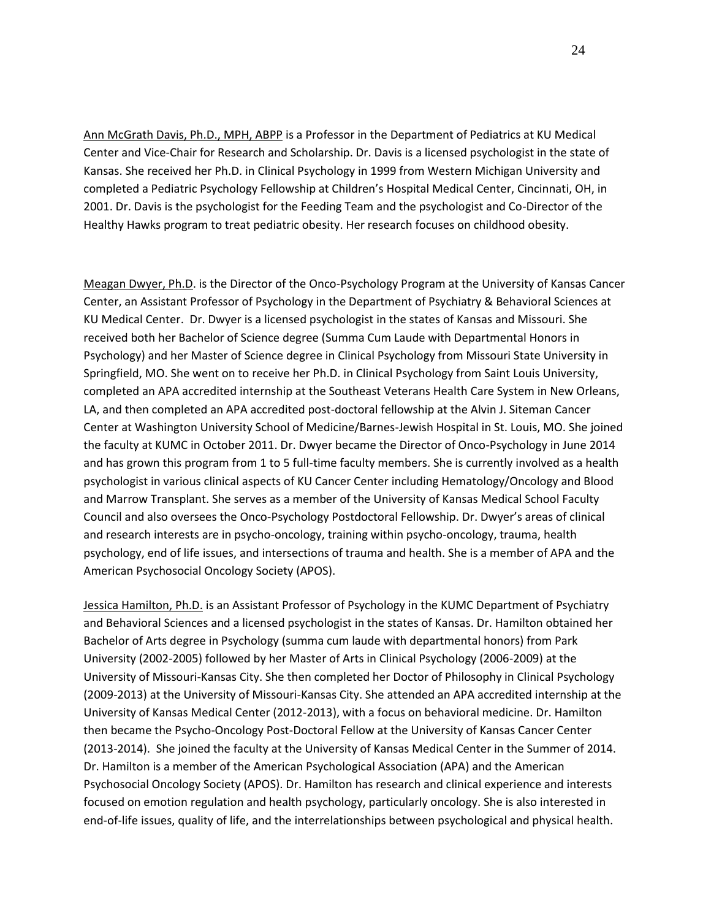Ann McGrath Davis, Ph.D., MPH, ABPP is a Professor in the Department of Pediatrics at KU Medical Center and Vice-Chair for Research and Scholarship. Dr. Davis is a licensed psychologist in the state of Kansas. She received her Ph.D. in Clinical Psychology in 1999 from Western Michigan University and completed a Pediatric Psychology Fellowship at Children's Hospital Medical Center, Cincinnati, OH, in 2001. Dr. Davis is the psychologist for the Feeding Team and the psychologist and Co-Director of the Healthy Hawks program to treat pediatric obesity. Her research focuses on childhood obesity.

Meagan Dwyer, Ph.D. is the Director of the Onco-Psychology Program at the University of Kansas Cancer Center, an Assistant Professor of Psychology in the Department of Psychiatry & Behavioral Sciences at KU Medical Center. Dr. Dwyer is a licensed psychologist in the states of Kansas and Missouri. She received both her Bachelor of Science degree (Summa Cum Laude with Departmental Honors in Psychology) and her Master of Science degree in Clinical Psychology from Missouri State University in Springfield, MO. She went on to receive her Ph.D. in Clinical Psychology from Saint Louis University, completed an APA accredited internship at the Southeast Veterans Health Care System in New Orleans, LA, and then completed an APA accredited post-doctoral fellowship at the Alvin J. Siteman Cancer Center at Washington University School of Medicine/Barnes-Jewish Hospital in St. Louis, MO. She joined the faculty at KUMC in October 2011. Dr. Dwyer became the Director of Onco-Psychology in June 2014 and has grown this program from 1 to 5 full-time faculty members. She is currently involved as a health psychologist in various clinical aspects of KU Cancer Center including Hematology/Oncology and Blood and Marrow Transplant. She serves as a member of the University of Kansas Medical School Faculty Council and also oversees the Onco-Psychology Postdoctoral Fellowship. Dr. Dwyer's areas of clinical and research interests are in psycho-oncology, training within psycho-oncology, trauma, health psychology, end of life issues, and intersections of trauma and health. She is a member of APA and the American Psychosocial Oncology Society (APOS).

Jessica Hamilton, Ph.D. is an Assistant Professor of Psychology in the KUMC Department of Psychiatry and Behavioral Sciences and a licensed psychologist in the states of Kansas. Dr. Hamilton obtained her Bachelor of Arts degree in Psychology (summa cum laude with departmental honors) from Park University (2002-2005) followed by her Master of Arts in Clinical Psychology (2006-2009) at the University of Missouri-Kansas City. She then completed her Doctor of Philosophy in Clinical Psychology (2009-2013) at the University of Missouri-Kansas City. She attended an APA accredited internship at the University of Kansas Medical Center (2012-2013), with a focus on behavioral medicine. Dr. Hamilton then became the Psycho-Oncology Post-Doctoral Fellow at the University of Kansas Cancer Center (2013-2014). She joined the faculty at the University of Kansas Medical Center in the Summer of 2014. Dr. Hamilton is a member of the American Psychological Association (APA) and the American Psychosocial Oncology Society (APOS). Dr. Hamilton has research and clinical experience and interests focused on emotion regulation and health psychology, particularly oncology. She is also interested in end-of-life issues, quality of life, and the interrelationships between psychological and physical health.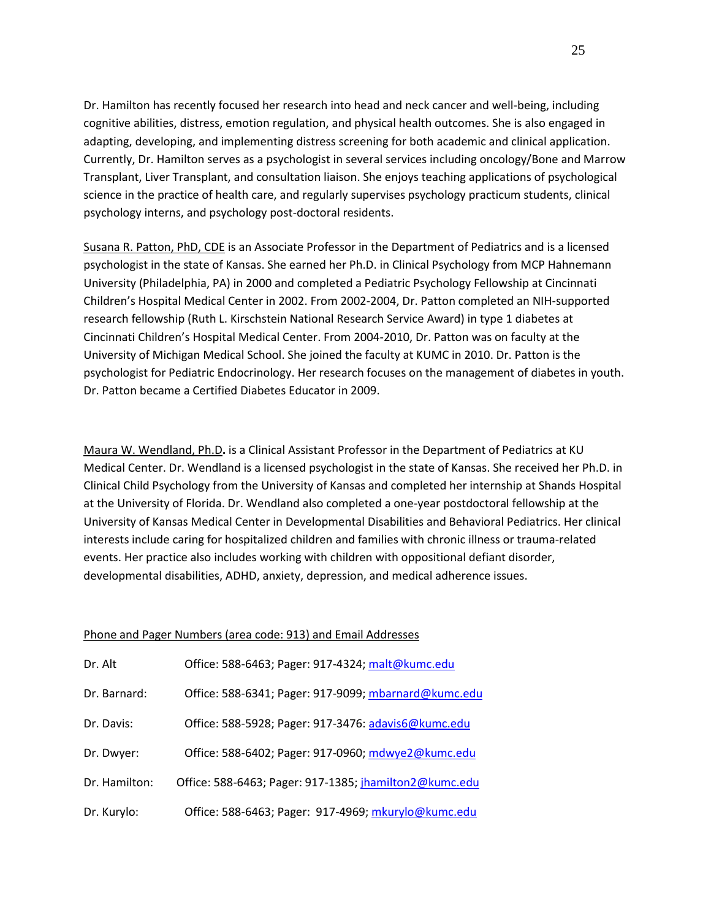Dr. Hamilton has recently focused her research into head and neck cancer and well-being, including cognitive abilities, distress, emotion regulation, and physical health outcomes. She is also engaged in adapting, developing, and implementing distress screening for both academic and clinical application. Currently, Dr. Hamilton serves as a psychologist in several services including oncology/Bone and Marrow Transplant, Liver Transplant, and consultation liaison. She enjoys teaching applications of psychological science in the practice of health care, and regularly supervises psychology practicum students, clinical psychology interns, and psychology post-doctoral residents.

Susana R. Patton, PhD, CDE is an Associate Professor in the Department of Pediatrics and is a licensed psychologist in the state of Kansas. She earned her Ph.D. in Clinical Psychology from MCP Hahnemann University (Philadelphia, PA) in 2000 and completed a Pediatric Psychology Fellowship at Cincinnati Children's Hospital Medical Center in 2002. From 2002-2004, Dr. Patton completed an NIH-supported research fellowship (Ruth L. Kirschstein National Research Service Award) in type 1 diabetes at Cincinnati Children's Hospital Medical Center. From 2004-2010, Dr. Patton was on faculty at the University of Michigan Medical School. She joined the faculty at KUMC in 2010. Dr. Patton is the psychologist for Pediatric Endocrinology. Her research focuses on the management of diabetes in youth. Dr. Patton became a Certified Diabetes Educator in 2009.

Maura W. Wendland, Ph.D**.** is a Clinical Assistant Professor in the Department of Pediatrics at KU Medical Center. Dr. Wendland is a licensed psychologist in the state of Kansas. She received her Ph.D. in Clinical Child Psychology from the University of Kansas and completed her internship at Shands Hospital at the University of Florida. Dr. Wendland also completed a one-year postdoctoral fellowship at the University of Kansas Medical Center in Developmental Disabilities and Behavioral Pediatrics. Her clinical interests include caring for hospitalized children and families with chronic illness or trauma-related events. Her practice also includes working with children with oppositional defiant disorder, developmental disabilities, ADHD, anxiety, depression, and medical adherence issues.

#### Phone and Pager Numbers (area code: 913) and Email Addresses

| Dr. Alt       | Office: 588-6463; Pager: 917-4324; malt@kumc.edu       |
|---------------|--------------------------------------------------------|
| Dr. Barnard:  | Office: 588-6341; Pager: 917-9099; mbarnard@kumc.edu   |
| Dr. Davis:    | Office: 588-5928; Pager: 917-3476: adavis6@kumc.edu    |
| Dr. Dwyer:    | Office: 588-6402; Pager: 917-0960; mdwye2@kumc.edu     |
| Dr. Hamilton: | Office: 588-6463; Pager: 917-1385; jhamilton2@kumc.edu |
| Dr. Kurylo:   | Office: 588-6463; Pager: 917-4969; mkurylo@kumc.edu    |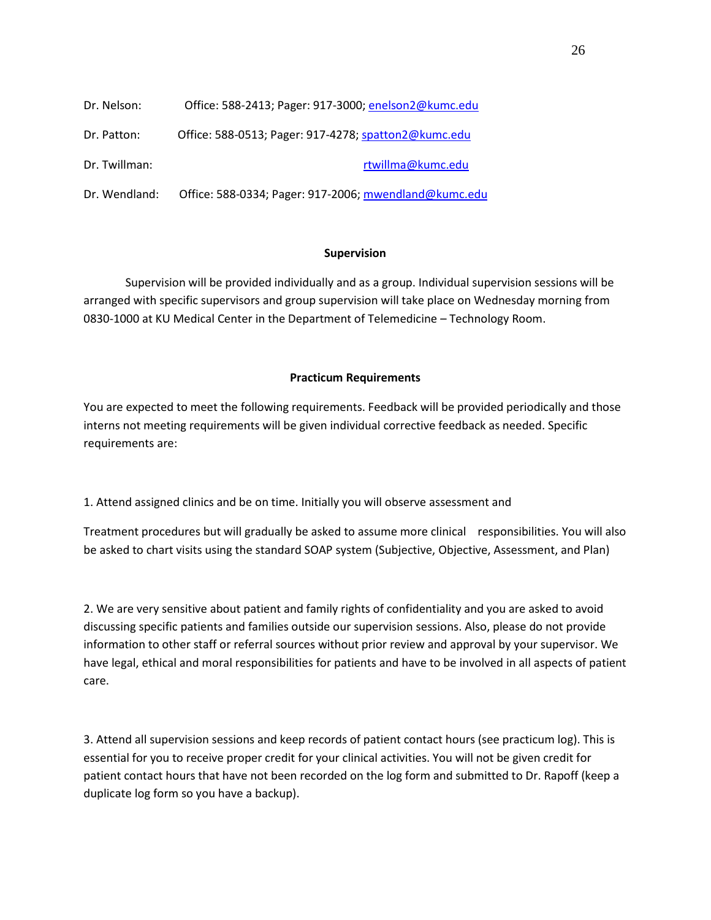| Dr. Nelson:   | Office: 588-2413; Pager: 917-3000; enelson2@kumc.edu  |
|---------------|-------------------------------------------------------|
| Dr. Patton:   | Office: 588-0513; Pager: 917-4278; spatton2@kumc.edu  |
| Dr. Twillman: | rtwillma@kumc.edu                                     |
| Dr. Wendland: | Office: 588-0334; Pager: 917-2006; mwendland@kumc.edu |

#### **Supervision**

Supervision will be provided individually and as a group. Individual supervision sessions will be arranged with specific supervisors and group supervision will take place on Wednesday morning from 0830-1000 at KU Medical Center in the Department of Telemedicine – Technology Room.

#### **Practicum Requirements**

You are expected to meet the following requirements. Feedback will be provided periodically and those interns not meeting requirements will be given individual corrective feedback as needed. Specific requirements are:

1. Attend assigned clinics and be on time. Initially you will observe assessment and

Treatment procedures but will gradually be asked to assume more clinical responsibilities. You will also be asked to chart visits using the standard SOAP system (Subjective, Objective, Assessment, and Plan)

2. We are very sensitive about patient and family rights of confidentiality and you are asked to avoid discussing specific patients and families outside our supervision sessions. Also, please do not provide information to other staff or referral sources without prior review and approval by your supervisor. We have legal, ethical and moral responsibilities for patients and have to be involved in all aspects of patient care.

3. Attend all supervision sessions and keep records of patient contact hours (see practicum log). This is essential for you to receive proper credit for your clinical activities. You will not be given credit for patient contact hours that have not been recorded on the log form and submitted to Dr. Rapoff (keep a duplicate log form so you have a backup).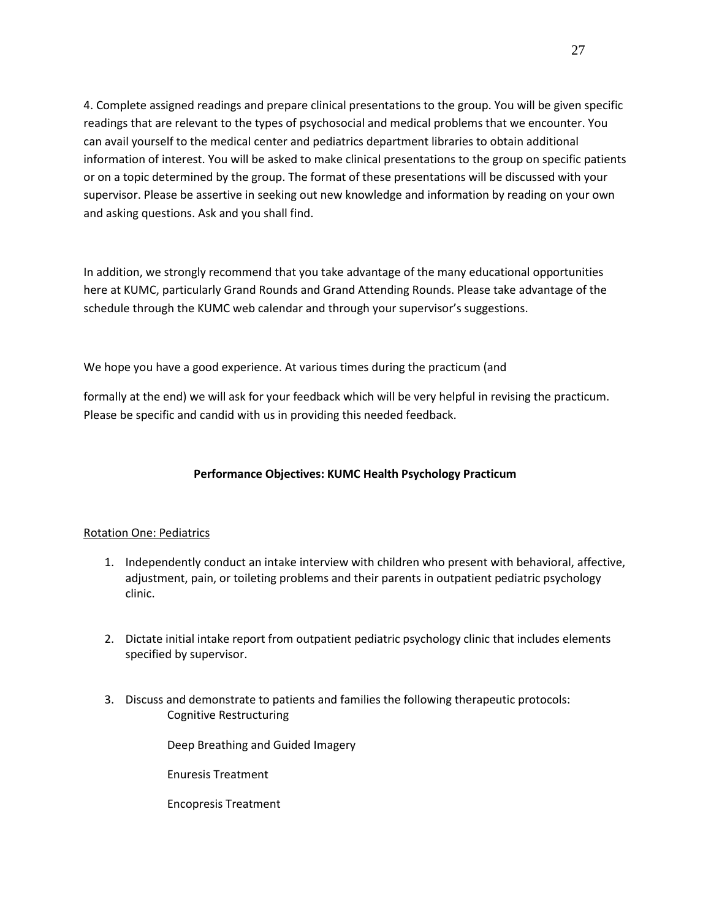4. Complete assigned readings and prepare clinical presentations to the group. You will be given specific readings that are relevant to the types of psychosocial and medical problems that we encounter. You can avail yourself to the medical center and pediatrics department libraries to obtain additional information of interest. You will be asked to make clinical presentations to the group on specific patients or on a topic determined by the group. The format of these presentations will be discussed with your supervisor. Please be assertive in seeking out new knowledge and information by reading on your own and asking questions. Ask and you shall find.

In addition, we strongly recommend that you take advantage of the many educational opportunities here at KUMC, particularly Grand Rounds and Grand Attending Rounds. Please take advantage of the schedule through the KUMC web calendar and through your supervisor's suggestions.

We hope you have a good experience. At various times during the practicum (and

formally at the end) we will ask for your feedback which will be very helpful in revising the practicum. Please be specific and candid with us in providing this needed feedback.

## **Performance Objectives: KUMC Health Psychology Practicum**

#### Rotation One: Pediatrics

- 1. Independently conduct an intake interview with children who present with behavioral, affective, adjustment, pain, or toileting problems and their parents in outpatient pediatric psychology clinic.
- 2. Dictate initial intake report from outpatient pediatric psychology clinic that includes elements specified by supervisor.
- 3. Discuss and demonstrate to patients and families the following therapeutic protocols: Cognitive Restructuring

Deep Breathing and Guided Imagery

Enuresis Treatment

Encopresis Treatment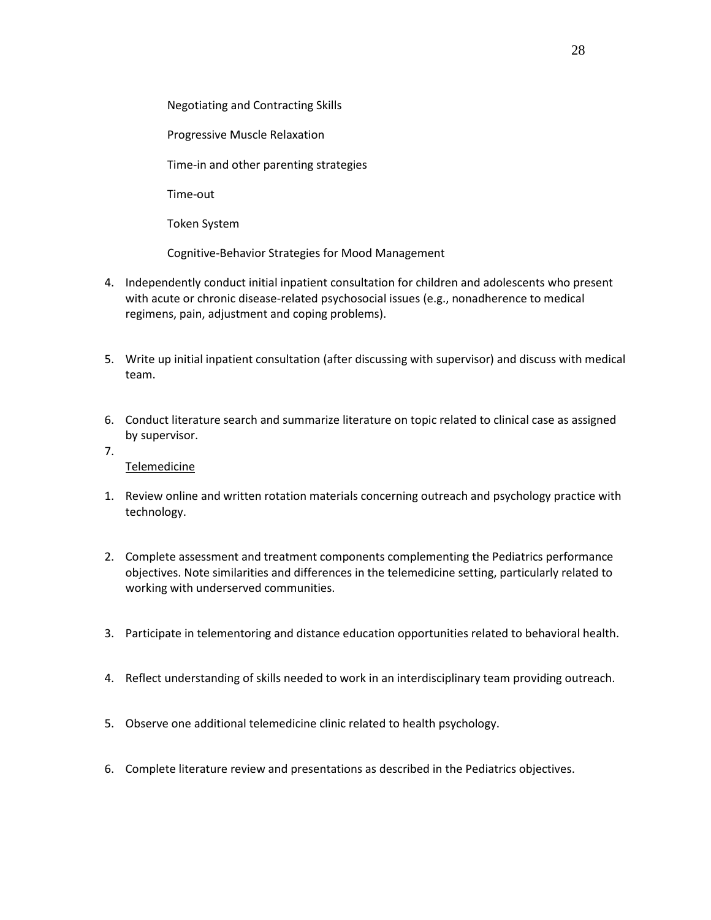Negotiating and Contracting Skills

Progressive Muscle Relaxation

Time-in and other parenting strategies

Time-out

Token System

Cognitive-Behavior Strategies for Mood Management

- 4. Independently conduct initial inpatient consultation for children and adolescents who present with acute or chronic disease-related psychosocial issues (e.g., nonadherence to medical regimens, pain, adjustment and coping problems).
- 5. Write up initial inpatient consultation (after discussing with supervisor) and discuss with medical team.
- 6. Conduct literature search and summarize literature on topic related to clinical case as assigned by supervisor.
- 7.

Telemedicine

- 1. Review online and written rotation materials concerning outreach and psychology practice with technology.
- 2. Complete assessment and treatment components complementing the Pediatrics performance objectives. Note similarities and differences in the telemedicine setting, particularly related to working with underserved communities.
- 3. Participate in telementoring and distance education opportunities related to behavioral health.
- 4. Reflect understanding of skills needed to work in an interdisciplinary team providing outreach.
- 5. Observe one additional telemedicine clinic related to health psychology.
- 6. Complete literature review and presentations as described in the Pediatrics objectives.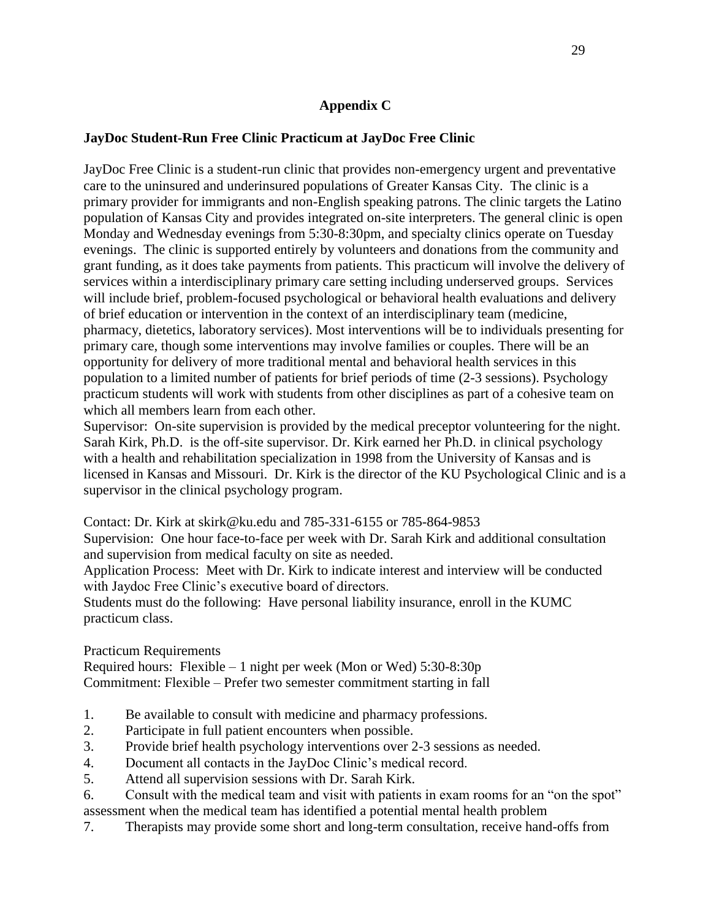# **Appendix C**

## **JayDoc Student-Run Free Clinic Practicum at JayDoc Free Clinic**

JayDoc Free Clinic is a student-run clinic that provides non-emergency urgent and preventative care to the uninsured and underinsured populations of Greater Kansas City. The clinic is a primary provider for immigrants and non-English speaking patrons. The clinic targets the Latino population of Kansas City and provides integrated on-site interpreters. The general clinic is open Monday and Wednesday evenings from 5:30-8:30pm, and specialty clinics operate on Tuesday evenings. The clinic is supported entirely by volunteers and donations from the community and grant funding, as it does take payments from patients. This practicum will involve the delivery of services within a interdisciplinary primary care setting including underserved groups. Services will include brief, problem-focused psychological or behavioral health evaluations and delivery of brief education or intervention in the context of an interdisciplinary team (medicine, pharmacy, dietetics, laboratory services). Most interventions will be to individuals presenting for primary care, though some interventions may involve families or couples. There will be an opportunity for delivery of more traditional mental and behavioral health services in this population to a limited number of patients for brief periods of time (2-3 sessions). Psychology practicum students will work with students from other disciplines as part of a cohesive team on which all members learn from each other.

Supervisor: On-site supervision is provided by the medical preceptor volunteering for the night. Sarah Kirk, Ph.D. is the off-site supervisor. Dr. Kirk earned her Ph.D. in clinical psychology with a health and rehabilitation specialization in 1998 from the University of Kansas and is licensed in Kansas and Missouri. Dr. Kirk is the director of the KU Psychological Clinic and is a supervisor in the clinical psychology program.

Contact: Dr. Kirk at skirk@ku.edu and 785-331-6155 or 785-864-9853

Supervision: One hour face-to-face per week with Dr. Sarah Kirk and additional consultation and supervision from medical faculty on site as needed.

Application Process: Meet with Dr. Kirk to indicate interest and interview will be conducted with Jaydoc Free Clinic's executive board of directors.

Students must do the following: Have personal liability insurance, enroll in the KUMC practicum class.

Practicum Requirements

Required hours: Flexible – 1 night per week (Mon or Wed) 5:30-8:30p Commitment: Flexible – Prefer two semester commitment starting in fall

- 1. Be available to consult with medicine and pharmacy professions.
- 2. Participate in full patient encounters when possible.
- 3. Provide brief health psychology interventions over 2-3 sessions as needed.
- 4. Document all contacts in the JayDoc Clinic's medical record.
- 5. Attend all supervision sessions with Dr. Sarah Kirk.
- 6. Consult with the medical team and visit with patients in exam rooms for an "on the spot" assessment when the medical team has identified a potential mental health problem
- 7. Therapists may provide some short and long-term consultation, receive hand-offs from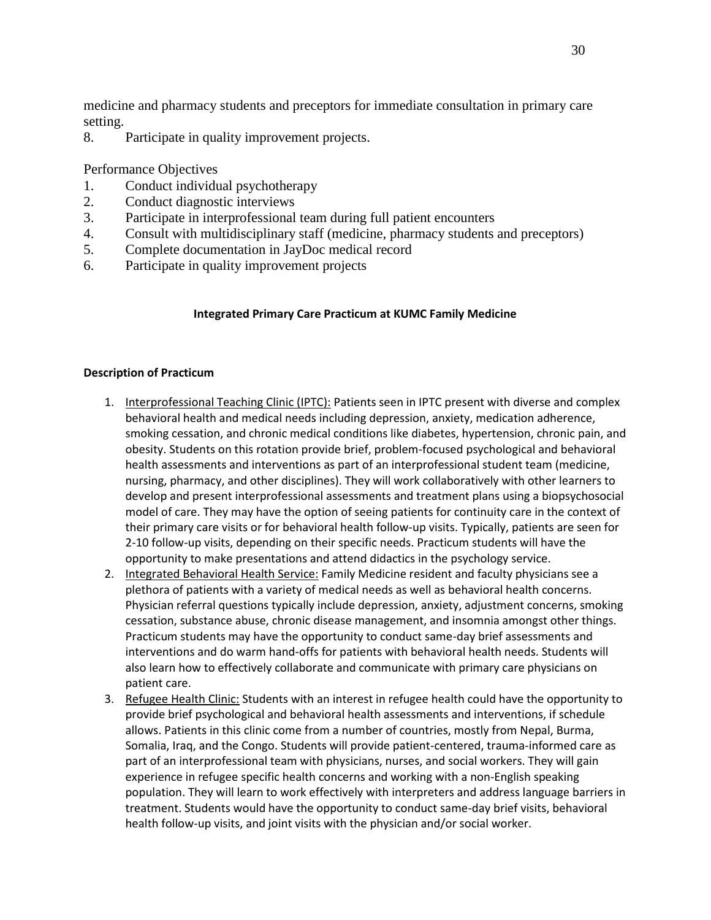medicine and pharmacy students and preceptors for immediate consultation in primary care setting.

8. Participate in quality improvement projects.

Performance Objectives

- 1. Conduct individual psychotherapy
- 2. Conduct diagnostic interviews
- 3. Participate in interprofessional team during full patient encounters
- 4. Consult with multidisciplinary staff (medicine, pharmacy students and preceptors)
- 5. Complete documentation in JayDoc medical record
- 6. Participate in quality improvement projects

## **Integrated Primary Care Practicum at KUMC Family Medicine**

#### **Description of Practicum**

- 1. Interprofessional Teaching Clinic (IPTC): Patients seen in IPTC present with diverse and complex behavioral health and medical needs including depression, anxiety, medication adherence, smoking cessation, and chronic medical conditions like diabetes, hypertension, chronic pain, and obesity. Students on this rotation provide brief, problem-focused psychological and behavioral health assessments and interventions as part of an interprofessional student team (medicine, nursing, pharmacy, and other disciplines). They will work collaboratively with other learners to develop and present interprofessional assessments and treatment plans using a biopsychosocial model of care. They may have the option of seeing patients for continuity care in the context of their primary care visits or for behavioral health follow-up visits. Typically, patients are seen for 2-10 follow-up visits, depending on their specific needs. Practicum students will have the opportunity to make presentations and attend didactics in the psychology service.
- 2. Integrated Behavioral Health Service: Family Medicine resident and faculty physicians see a plethora of patients with a variety of medical needs as well as behavioral health concerns. Physician referral questions typically include depression, anxiety, adjustment concerns, smoking cessation, substance abuse, chronic disease management, and insomnia amongst other things. Practicum students may have the opportunity to conduct same-day brief assessments and interventions and do warm hand-offs for patients with behavioral health needs. Students will also learn how to effectively collaborate and communicate with primary care physicians on patient care.
- 3. Refugee Health Clinic: Students with an interest in refugee health could have the opportunity to provide brief psychological and behavioral health assessments and interventions, if schedule allows. Patients in this clinic come from a number of countries, mostly from Nepal, Burma, Somalia, Iraq, and the Congo. Students will provide patient-centered, trauma-informed care as part of an interprofessional team with physicians, nurses, and social workers. They will gain experience in refugee specific health concerns and working with a non-English speaking population. They will learn to work effectively with interpreters and address language barriers in treatment. Students would have the opportunity to conduct same-day brief visits, behavioral health follow-up visits, and joint visits with the physician and/or social worker.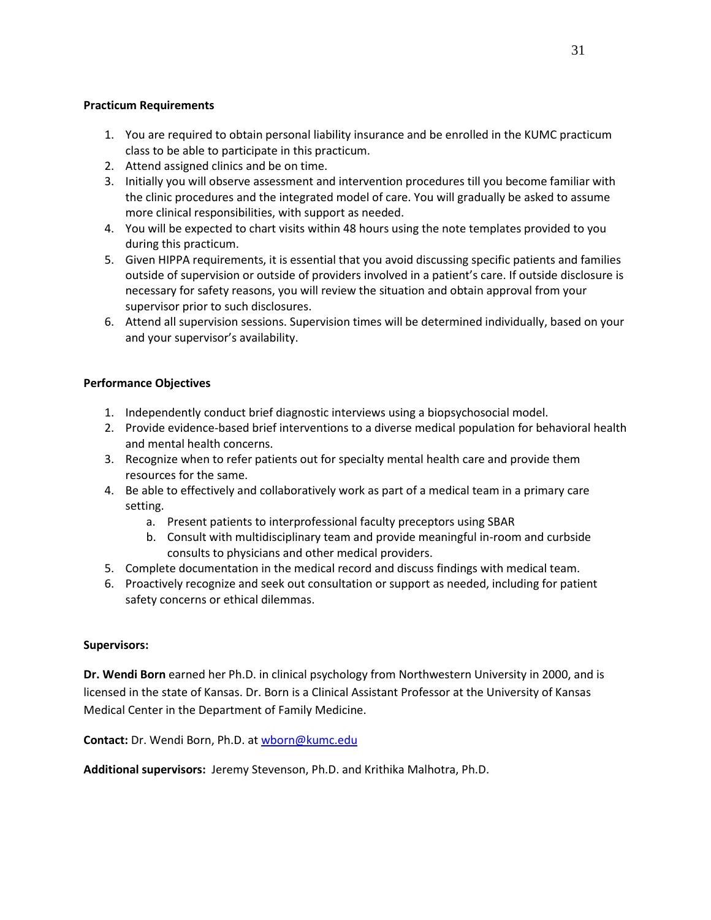#### **Practicum Requirements**

- 1. You are required to obtain personal liability insurance and be enrolled in the KUMC practicum class to be able to participate in this practicum.
- 2. Attend assigned clinics and be on time.
- 3. Initially you will observe assessment and intervention procedures till you become familiar with the clinic procedures and the integrated model of care. You will gradually be asked to assume more clinical responsibilities, with support as needed.
- 4. You will be expected to chart visits within 48 hours using the note templates provided to you during this practicum.
- 5. Given HIPPA requirements, it is essential that you avoid discussing specific patients and families outside of supervision or outside of providers involved in a patient's care. If outside disclosure is necessary for safety reasons, you will review the situation and obtain approval from your supervisor prior to such disclosures.
- 6. Attend all supervision sessions. Supervision times will be determined individually, based on your and your supervisor's availability.

#### **Performance Objectives**

- 1. Independently conduct brief diagnostic interviews using a biopsychosocial model.
- 2. Provide evidence-based brief interventions to a diverse medical population for behavioral health and mental health concerns.
- 3. Recognize when to refer patients out for specialty mental health care and provide them resources for the same.
- 4. Be able to effectively and collaboratively work as part of a medical team in a primary care setting.
	- a. Present patients to interprofessional faculty preceptors using SBAR
	- b. Consult with multidisciplinary team and provide meaningful in-room and curbside consults to physicians and other medical providers.
- 5. Complete documentation in the medical record and discuss findings with medical team.
- 6. Proactively recognize and seek out consultation or support as needed, including for patient safety concerns or ethical dilemmas.

#### **Supervisors:**

**Dr. Wendi Born** earned her Ph.D. in clinical psychology from Northwestern University in 2000, and is licensed in the state of Kansas. Dr. Born is a Clinical Assistant Professor at the University of Kansas Medical Center in the Department of Family Medicine.

**Contact:** Dr. Wendi Born, Ph.D. at [wborn@kumc.edu](mailto:wborn@kumc.edu)

**Additional supervisors:** Jeremy Stevenson, Ph.D. and Krithika Malhotra, Ph.D.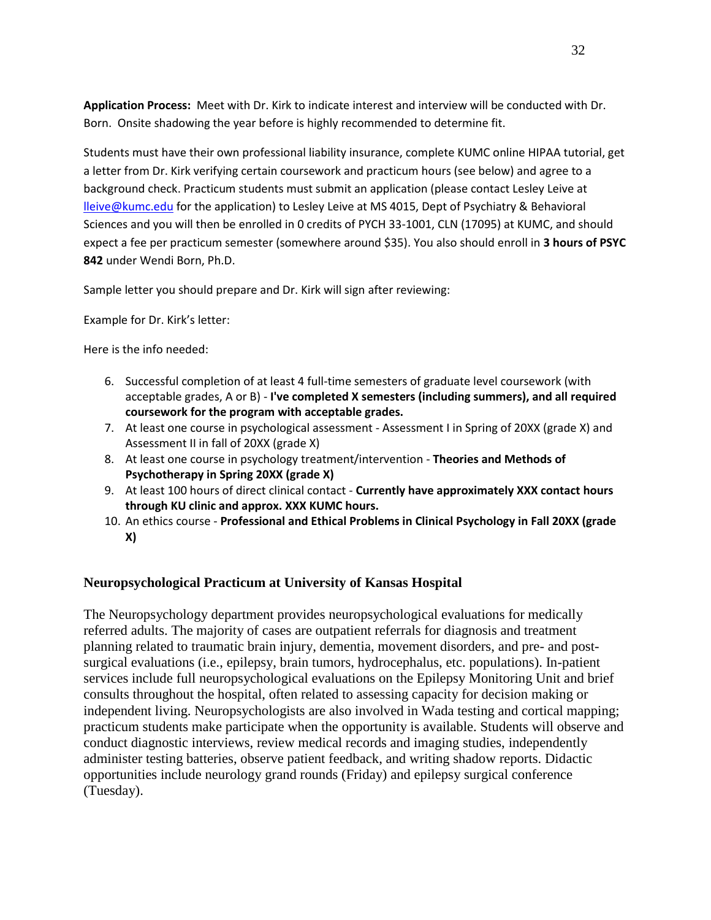**Application Process:** Meet with Dr. Kirk to indicate interest and interview will be conducted with Dr. Born. Onsite shadowing the year before is highly recommended to determine fit.

Students must have their own professional liability insurance, complete KUMC online HIPAA tutorial, get a letter from Dr. Kirk verifying certain coursework and practicum hours (see below) and agree to a background check. Practicum students must submit an application (please contact Lesley Leive at [lleive@kumc.edu](mailto:lleive@kumc.edu) for the application) to Lesley Leive at MS 4015, Dept of Psychiatry & Behavioral Sciences and you will then be enrolled in 0 credits of PYCH 33-1001, CLN (17095) at KUMC, and should expect a fee per practicum semester (somewhere around \$35). You also should enroll in **3 hours of PSYC 842** under Wendi Born, Ph.D.

Sample letter you should prepare and Dr. Kirk will sign after reviewing:

Example for Dr. Kirk's letter:

Here is the info needed:

- 6. Successful completion of at least 4 full-time semesters of graduate level coursework (with acceptable grades, A or B) - **I've completed X semesters (including summers), and all required coursework for the program with acceptable grades.**
- 7. At least one course in psychological assessment Assessment I in Spring of 20XX (grade X) and Assessment II in fall of 20XX (grade X)
- 8. At least one course in psychology treatment/intervention **Theories and Methods of Psychotherapy in Spring 20XX (grade X)**
- 9. At least 100 hours of direct clinical contact **Currently have approximately XXX contact hours through KU clinic and approx. XXX KUMC hours.**
- 10. An ethics course **Professional and Ethical Problems in Clinical Psychology in Fall 20XX (grade X)**

## **Neuropsychological Practicum at University of Kansas Hospital**

The Neuropsychology department provides neuropsychological evaluations for medically referred adults. The majority of cases are outpatient referrals for diagnosis and treatment planning related to traumatic brain injury, dementia, movement disorders, and pre- and postsurgical evaluations (i.e., epilepsy, brain tumors, hydrocephalus, etc. populations). In-patient services include full neuropsychological evaluations on the Epilepsy Monitoring Unit and brief consults throughout the hospital, often related to assessing capacity for decision making or independent living. Neuropsychologists are also involved in Wada testing and cortical mapping; practicum students make participate when the opportunity is available. Students will observe and conduct diagnostic interviews, review medical records and imaging studies, independently administer testing batteries, observe patient feedback, and writing shadow reports. Didactic opportunities include neurology grand rounds (Friday) and epilepsy surgical conference (Tuesday).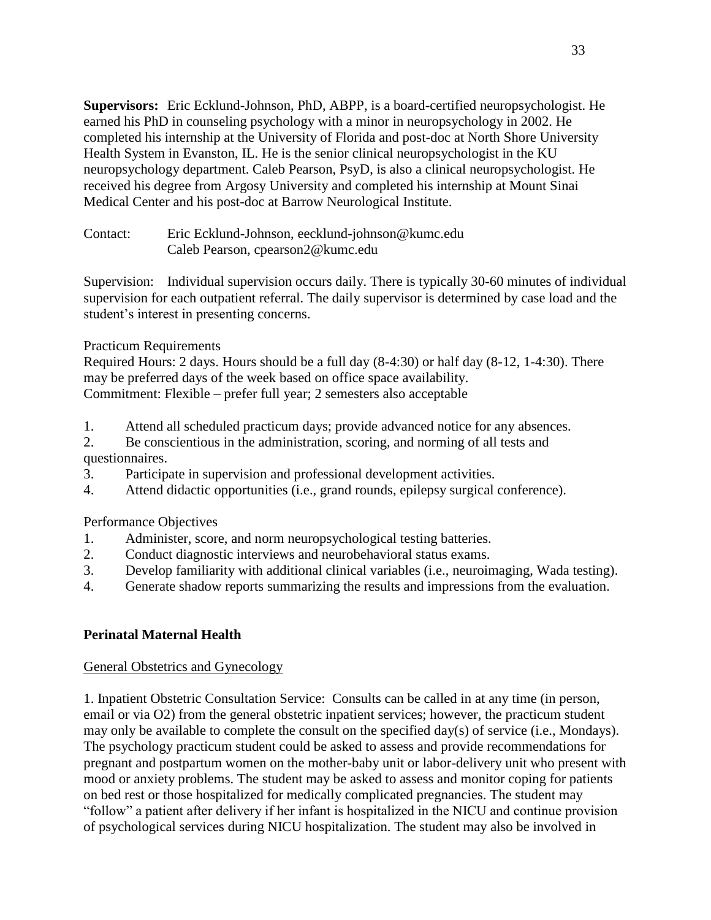**Supervisors:** Eric Ecklund-Johnson, PhD, ABPP, is a board-certified neuropsychologist. He earned his PhD in counseling psychology with a minor in neuropsychology in 2002. He completed his internship at the University of Florida and post-doc at North Shore University Health System in Evanston, IL. He is the senior clinical neuropsychologist in the KU neuropsychology department. Caleb Pearson, PsyD, is also a clinical neuropsychologist. He received his degree from Argosy University and completed his internship at Mount Sinai Medical Center and his post-doc at Barrow Neurological Institute.

Contact: Eric Ecklund-Johnson, eecklund-johnson@kumc.edu Caleb Pearson, cpearson2@kumc.edu

Supervision: Individual supervision occurs daily. There is typically 30-60 minutes of individual supervision for each outpatient referral. The daily supervisor is determined by case load and the student's interest in presenting concerns.

## Practicum Requirements

Required Hours: 2 days. Hours should be a full day (8-4:30) or half day (8-12, 1-4:30). There may be preferred days of the week based on office space availability. Commitment: Flexible – prefer full year; 2 semesters also acceptable

- 1. Attend all scheduled practicum days; provide advanced notice for any absences.
- 2. Be conscientious in the administration, scoring, and norming of all tests and questionnaires.
- 3. Participate in supervision and professional development activities.
- 4. Attend didactic opportunities (i.e., grand rounds, epilepsy surgical conference).

## Performance Objectives

- 1. Administer, score, and norm neuropsychological testing batteries.
- 2. Conduct diagnostic interviews and neurobehavioral status exams.
- 3. Develop familiarity with additional clinical variables (i.e., neuroimaging, Wada testing).
- 4. Generate shadow reports summarizing the results and impressions from the evaluation.

# **Perinatal Maternal Health**

## General Obstetrics and Gynecology

1. Inpatient Obstetric Consultation Service: Consults can be called in at any time (in person, email or via O2) from the general obstetric inpatient services; however, the practicum student may only be available to complete the consult on the specified day(s) of service (i.e., Mondays). The psychology practicum student could be asked to assess and provide recommendations for pregnant and postpartum women on the mother-baby unit or labor-delivery unit who present with mood or anxiety problems. The student may be asked to assess and monitor coping for patients on bed rest or those hospitalized for medically complicated pregnancies. The student may "follow" a patient after delivery if her infant is hospitalized in the NICU and continue provision of psychological services during NICU hospitalization. The student may also be involved in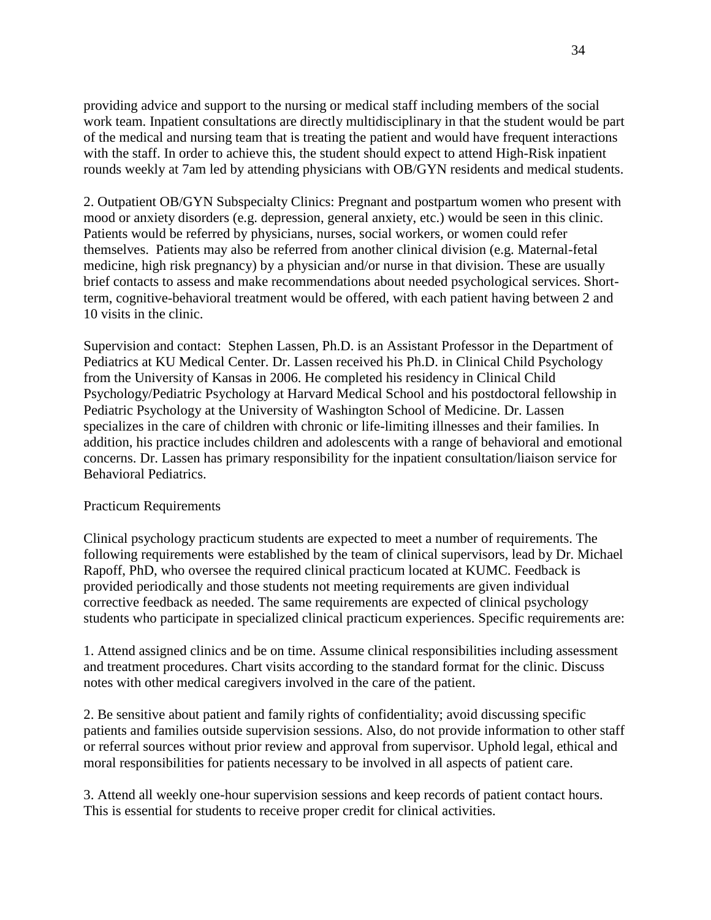providing advice and support to the nursing or medical staff including members of the social work team. Inpatient consultations are directly multidisciplinary in that the student would be part of the medical and nursing team that is treating the patient and would have frequent interactions with the staff. In order to achieve this, the student should expect to attend High-Risk inpatient rounds weekly at 7am led by attending physicians with OB/GYN residents and medical students.

2. Outpatient OB/GYN Subspecialty Clinics: Pregnant and postpartum women who present with mood or anxiety disorders (e.g. depression, general anxiety, etc.) would be seen in this clinic. Patients would be referred by physicians, nurses, social workers, or women could refer themselves. Patients may also be referred from another clinical division (e.g. Maternal-fetal medicine, high risk pregnancy) by a physician and/or nurse in that division. These are usually brief contacts to assess and make recommendations about needed psychological services. Shortterm, cognitive-behavioral treatment would be offered, with each patient having between 2 and 10 visits in the clinic.

Supervision and contact: Stephen Lassen, Ph.D. is an Assistant Professor in the Department of Pediatrics at KU Medical Center. Dr. Lassen received his Ph.D. in Clinical Child Psychology from the University of Kansas in 2006. He completed his residency in Clinical Child Psychology/Pediatric Psychology at Harvard Medical School and his postdoctoral fellowship in Pediatric Psychology at the University of Washington School of Medicine. Dr. Lassen specializes in the care of children with chronic or life-limiting illnesses and their families. In addition, his practice includes children and adolescents with a range of behavioral and emotional concerns. Dr. Lassen has primary responsibility for the inpatient consultation/liaison service for Behavioral Pediatrics.

## Practicum Requirements

Clinical psychology practicum students are expected to meet a number of requirements. The following requirements were established by the team of clinical supervisors, lead by Dr. Michael Rapoff, PhD, who oversee the required clinical practicum located at KUMC. Feedback is provided periodically and those students not meeting requirements are given individual corrective feedback as needed. The same requirements are expected of clinical psychology students who participate in specialized clinical practicum experiences. Specific requirements are:

1. Attend assigned clinics and be on time. Assume clinical responsibilities including assessment and treatment procedures. Chart visits according to the standard format for the clinic. Discuss notes with other medical caregivers involved in the care of the patient.

2. Be sensitive about patient and family rights of confidentiality; avoid discussing specific patients and families outside supervision sessions. Also, do not provide information to other staff or referral sources without prior review and approval from supervisor. Uphold legal, ethical and moral responsibilities for patients necessary to be involved in all aspects of patient care.

3. Attend all weekly one-hour supervision sessions and keep records of patient contact hours. This is essential for students to receive proper credit for clinical activities.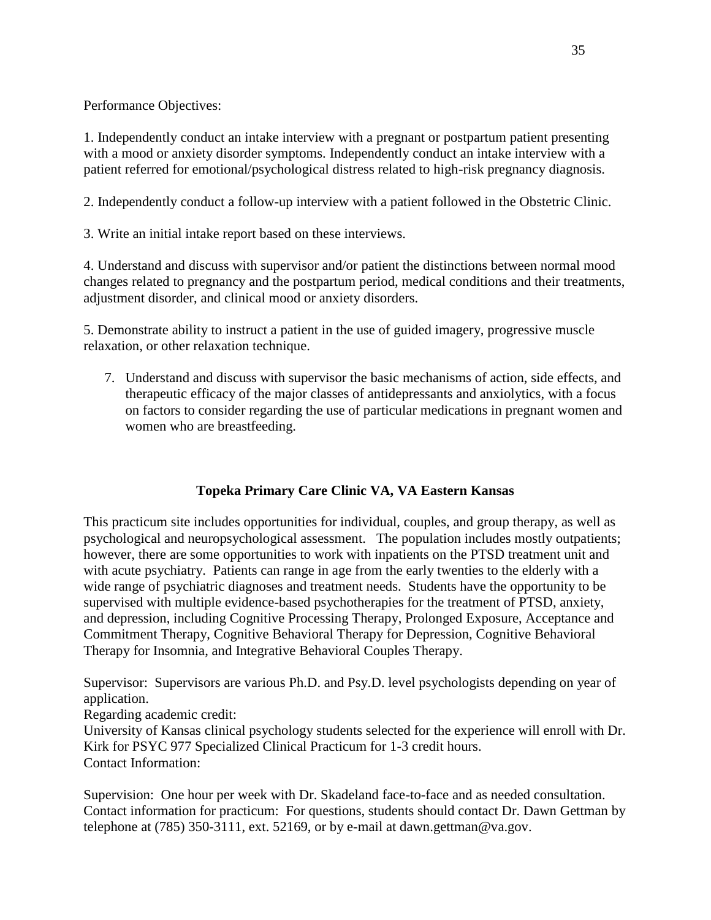Performance Objectives:

1. Independently conduct an intake interview with a pregnant or postpartum patient presenting with a mood or anxiety disorder symptoms. Independently conduct an intake interview with a patient referred for emotional/psychological distress related to high-risk pregnancy diagnosis.

2. Independently conduct a follow-up interview with a patient followed in the Obstetric Clinic.

3. Write an initial intake report based on these interviews.

4. Understand and discuss with supervisor and/or patient the distinctions between normal mood changes related to pregnancy and the postpartum period, medical conditions and their treatments, adjustment disorder, and clinical mood or anxiety disorders.

5. Demonstrate ability to instruct a patient in the use of guided imagery, progressive muscle relaxation, or other relaxation technique.

7. Understand and discuss with supervisor the basic mechanisms of action, side effects, and therapeutic efficacy of the major classes of antidepressants and anxiolytics, with a focus on factors to consider regarding the use of particular medications in pregnant women and women who are breastfeeding.

# **Topeka Primary Care Clinic VA, VA Eastern Kansas**

This practicum site includes opportunities for individual, couples, and group therapy, as well as psychological and neuropsychological assessment. The population includes mostly outpatients; however, there are some opportunities to work with inpatients on the PTSD treatment unit and with acute psychiatry. Patients can range in age from the early twenties to the elderly with a wide range of psychiatric diagnoses and treatment needs. Students have the opportunity to be supervised with multiple evidence-based psychotherapies for the treatment of PTSD, anxiety, and depression, including Cognitive Processing Therapy, Prolonged Exposure, Acceptance and Commitment Therapy, Cognitive Behavioral Therapy for Depression, Cognitive Behavioral Therapy for Insomnia, and Integrative Behavioral Couples Therapy.

Supervisor: Supervisors are various Ph.D. and Psy.D. level psychologists depending on year of application.

Regarding academic credit:

University of Kansas clinical psychology students selected for the experience will enroll with Dr. Kirk for PSYC 977 Specialized Clinical Practicum for 1-3 credit hours. Contact Information:

Supervision: One hour per week with Dr. Skadeland face-to-face and as needed consultation. Contact information for practicum: For questions, students should contact Dr. Dawn Gettman by telephone at  $(785)$  350-3111, ext. 52169, or by e-mail at dawn.gettman@va.gov.